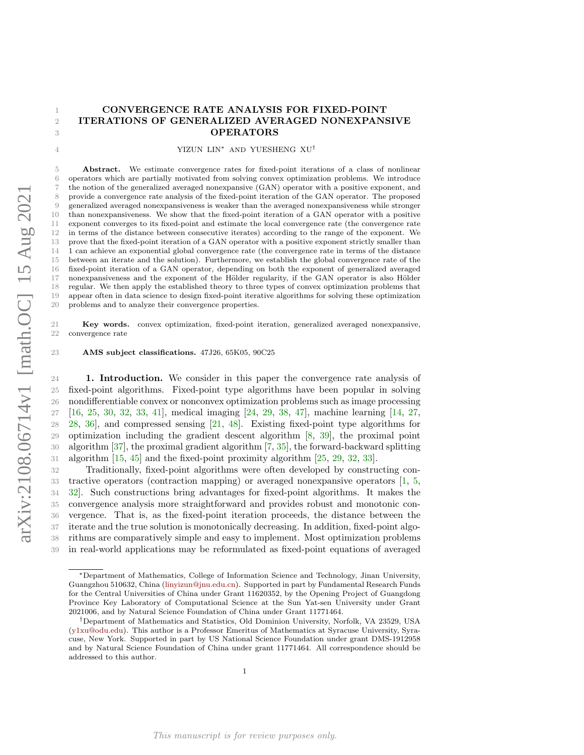# CONVERGENCE RATE ANALYSIS FOR FIXED-POINT ITERATIONS OF GENERALIZED AVERAGED NONEXPANSIVE **OPERATORS**

YIZUN LIN<sup>∗</sup> AND YUESHENG XU†

 Abstract. We estimate convergence rates for fixed-point iterations of a class of nonlinear operators which are partially motivated from solving convex optimization problems. We introduce the notion of the generalized averaged nonexpansive (GAN) operator with a positive exponent, and provide a convergence rate analysis of the fixed-point iteration of the GAN operator. The proposed generalized averaged nonexpansiveness is weaker than the averaged nonexpansiveness while stronger than nonexpansiveness. We show that the fixed-point iteration of a GAN operator with a positive exponent converges to its fixed-point and estimate the local convergence rate (the convergence rate in terms of the distance between consecutive iterates) according to the range of the exponent. We prove that the fixed-point iteration of a GAN operator with a positive exponent strictly smaller than 1 can achieve an exponential global convergence rate (the convergence rate in terms of the distance between an iterate and the solution). Furthermore, we establish the global convergence rate of the fixed-point iteration of a GAN operator, depending on both the exponent of generalized averaged 17 nonexpansiveness and the exponent of the Hölder regularity, if the GAN operator is also Hölder regular. We then apply the established theory to three types of convex optimization problems that appear often in data science to design fixed-point iterative algorithms for solving these optimization problems and to analyze their convergence properties.

 Key words. convex optimization, fixed-point iteration, generalized averaged nonexpansive, convergence rate

AMS subject classifications. 47J26, 65K05, 90C25

 1. Introduction. We consider in this paper the convergence rate analysis of fixed-point algorithms. Fixed-point type algorithms have been popular in solving nondifferentiable convex or nonconvex optimization problems such as image processing [\[16,](#page-23-0) [25,](#page-23-1) [30,](#page-24-0) [32,](#page-24-1) [33,](#page-24-2) [41\]](#page-24-3), medical imaging [\[24,](#page-23-2) [29,](#page-24-4) [38,](#page-24-5) [47\]](#page-24-6), machine learning [\[14,](#page-23-3) [27,](#page-24-7) [28,](#page-24-8) [36\]](#page-24-9), and compressed sensing [\[21,](#page-23-4) [48\]](#page-24-10). Existing fixed-point type algorithms for optimization including the gradient descent algorithm [\[8,](#page-23-5) [39\]](#page-24-11), the proximal point algorithm [\[37\]](#page-24-12), the proximal gradient algorithm [\[7,](#page-23-6) [35\]](#page-24-13), the forward-backward splitting algorithm [\[15,](#page-23-7) [45\]](#page-24-14) and the fixed-point proximity algorithm [\[25,](#page-23-1) [29,](#page-24-4) [32,](#page-24-1) [33\]](#page-24-2).

 Traditionally, fixed-point algorithms were often developed by constructing con- tractive operators (contraction mapping) or averaged nonexpansive operators [\[1,](#page-23-8) [5,](#page-23-9) [32\]](#page-24-1). Such constructions bring advantages for fixed-point algorithms. It makes the convergence analysis more straightforward and provides robust and monotonic con- vergence. That is, as the fixed-point iteration proceeds, the distance between the iterate and the true solution is monotonically decreasing. In addition, fixed-point algo- rithms are comparatively simple and easy to implement. Most optimization problems in real-world applications may be reformulated as fixed-point equations of averaged

<sup>∗</sup>Department of Mathematics, College of Information Science and Technology, Jinan University, Guangzhou 510632, China [\(linyizun@jnu.edu.cn\)](mailto:linyizun@jnu.edu.cn). Supported in part by Fundamental Research Funds for the Central Universities of China under Grant 11620352, by the Opening Project of Guangdong Province Key Laboratory of Computational Science at the Sun Yat-sen University under Grant 2021006, and by Natural Science Foundation of China under Grant 11771464.

<sup>†</sup>Department of Mathematics and Statistics, Old Dominion University, Norfolk, VA 23529, USA [\(y1xu@odu.edu\)](mailto:y1xu@odu.edu). This author is a Professor Emeritus of Mathematics at Syracuse University, Syracuse, New York. Supported in part by US National Science Foundation under grant DMS-1912958 and by Natural Science Foundation of China under grant 11771464. All correspondence should be addressed to this author.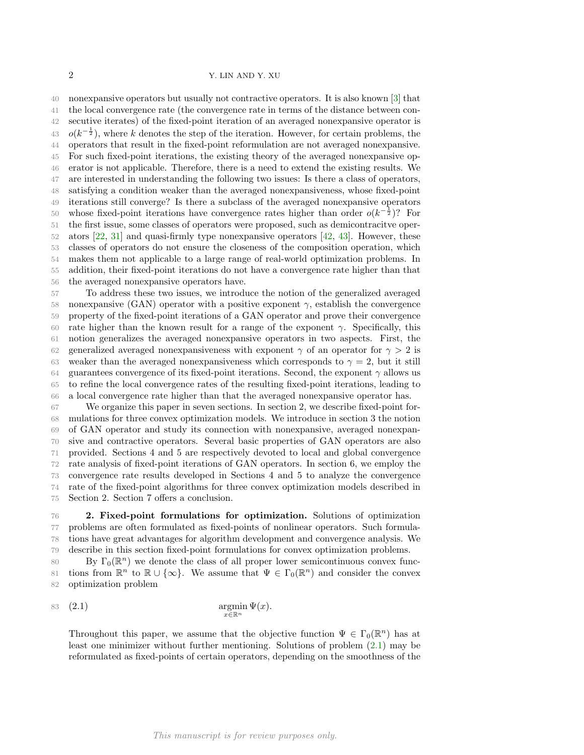nonexpansive operators but usually not contractive operators. It is also known [\[3\]](#page-23-10) that the local convergence rate (the convergence rate in terms of the distance between con- secutive iterates) of the fixed-point iteration of an averaged nonexpansive operator is  $o(k^{-\frac{1}{2}})$ , where k denotes the step of the iteration. However, for certain problems, the operators that result in the fixed-point reformulation are not averaged nonexpansive. For such fixed-point iterations, the existing theory of the averaged nonexpansive op- erator is not applicable. Therefore, there is a need to extend the existing results. We are interested in understanding the following two issues: Is there a class of operators, satisfying a condition weaker than the averaged nonexpansiveness, whose fixed-point iterations still converge? Is there a subclass of the averaged nonexpansive operators 50 whose fixed-point iterations have convergence rates higher than order  $o(k^{-\frac{1}{2}})$ ? For the first issue, some classes of operators were proposed, such as demicontracitve oper- ators [\[22,](#page-23-11) [31\]](#page-24-15) and quasi-firmly type nonexpansive operators [\[42,](#page-24-16) [43\]](#page-24-17). However, these classes of operators do not ensure the closeness of the composition operation, which makes them not applicable to a large range of real-world optimization problems. In addition, their fixed-point iterations do not have a convergence rate higher than that the averaged nonexpansive operators have.

 To address these two issues, we introduce the notion of the generalized averaged 58 nonexpansive (GAN) operator with a positive exponent  $\gamma$ , establish the convergence property of the fixed-point iterations of a GAN operator and prove their convergence 60 rate higher than the known result for a range of the exponent  $\gamma$ . Specifically, this notion generalizes the averaged nonexpansive operators in two aspects. First, the 62 generalized averaged nonexpansiveness with exponent  $\gamma$  of an operator for  $\gamma > 2$  is 63 weaker than the averaged nonexpansiveness which corresponds to  $\gamma = 2$ , but it still 64 guarantees convergence of its fixed-point iterations. Second, the exponent  $\gamma$  allows us to refine the local convergence rates of the resulting fixed-point iterations, leading to a local convergence rate higher than that the averaged nonexpansive operator has.

 We organize this paper in seven sections. In section 2, we describe fixed-point for- mulations for three convex optimization models. We introduce in section 3 the notion of GAN operator and study its connection with nonexpansive, averaged nonexpan- sive and contractive operators. Several basic properties of GAN operators are also provided. Sections 4 and 5 are respectively devoted to local and global convergence rate analysis of fixed-point iterations of GAN operators. In section 6, we employ the convergence rate results developed in Sections 4 and 5 to analyze the convergence rate of the fixed-point algorithms for three convex optimization models described in Section 2. Section 7 offers a conclusion.

<span id="page-1-1"></span> 2. Fixed-point formulations for optimization. Solutions of optimization problems are often formulated as fixed-points of nonlinear operators. Such formula- tions have great advantages for algorithm development and convergence analysis. We describe in this section fixed-point formulations for convex optimization problems.

80 By  $\Gamma_0(\mathbb{R}^n)$  we denote the class of all proper lower semicontinuous convex func-81 tions from  $\mathbb{R}^n$  to  $\mathbb{R} \cup \{\infty\}$ . We assume that  $\Psi \in \Gamma_0(\mathbb{R}^n)$  and consider the convex optimization problem

$$
\operatorname*{argmin}_{x \in \mathbb{R}^n} \Psi(x).
$$

<span id="page-1-0"></span>Throughout this paper, we assume that the objective function  $\Psi \in \Gamma_0(\mathbb{R}^n)$  has at least one minimizer without further mentioning. Solutions of problem [\(2.1\)](#page-1-0) may be reformulated as fixed-points of certain operators, depending on the smoothness of the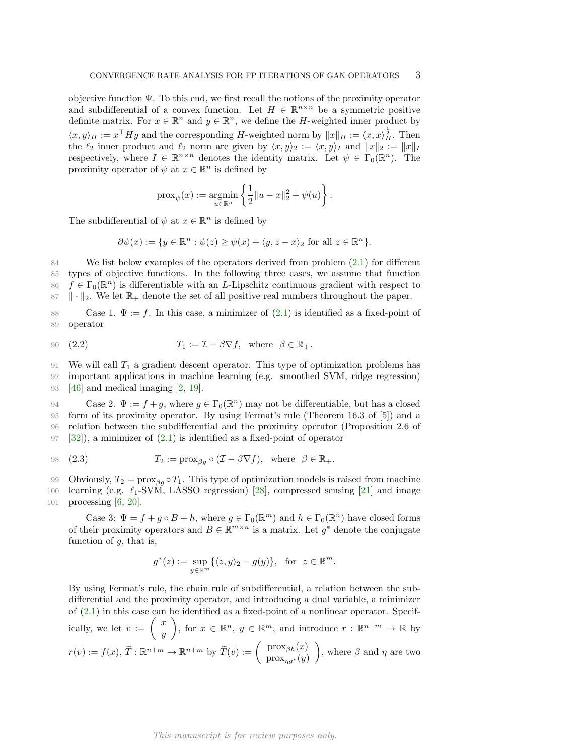objective function  $\Psi$ . To this end, we first recall the notions of the proximity operator and subdifferential of a convex function. Let  $H \in \mathbb{R}^{n \times n}$  be a symmetric positive definite matrix. For  $x \in \mathbb{R}^n$  and  $y \in \mathbb{R}^n$ , we define the H-weighted inner product by  $\langle x, y \rangle_H := x^\top H y$  and the corresponding H-weighted norm by  $||x||_H := \langle x, x \rangle_H^{\frac{1}{2}}$ . Then the  $\ell_2$  inner product and  $\ell_2$  norm are given by  $\langle x, y \rangle_2 := \langle x, y \rangle_I$  and  $||x||_2 := ||x||_I$ respectively, where  $I \in \mathbb{R}^{n \times n}$  denotes the identity matrix. Let  $\psi \in \Gamma_0(\mathbb{R}^n)$ . The proximity operator of  $\psi$  at  $x \in \mathbb{R}^n$  is defined by

$$
\text{prox}_{\psi}(x) := \underset{u \in \mathbb{R}^n}{\text{argmin}} \left\{ \frac{1}{2} ||u - x||_2^2 + \psi(u) \right\}.
$$

The subdifferential of  $\psi$  at  $x \in \mathbb{R}^n$  is defined by

<span id="page-2-0"></span>
$$
\partial \psi(x) := \{ y \in \mathbb{R}^n : \psi(z) \ge \psi(x) + \langle y, z - x \rangle_2 \text{ for all } z \in \mathbb{R}^n \}.
$$

 We list below examples of the operators derived from problem [\(2.1\)](#page-1-0) for different types of objective functions. In the following three cases, we assume that function  $f \in \Gamma_0(\mathbb{R}^n)$  is differentiable with an L-Lipschitz continuous gradient with respect to  $\|\cdot\|_2$ . We let  $\mathbb{R}_+$  denote the set of all positive real numbers throughout the paper.

88 Case 1.  $\Psi := f$ . In this case, a minimizer of  $(2.1)$  is identified as a fixed-point of 89 operator

90 (2.2) 
$$
T_1 := \mathcal{I} - \beta \nabla f, \text{ where } \beta \in \mathbb{R}_+.
$$

91 We will call  $T_1$  a gradient descent operator. This type of optimization problems has 92 important applications in machine learning (e.g. smoothed SVM, ridge regression)

93 [\[46\]](#page-24-18) and medical imaging [\[2,](#page-23-12) [19\]](#page-23-13).

94 Case 2.  $\Psi := f + g$ , where  $g \in \Gamma_0(\mathbb{R}^n)$  may not be differentiable, but has a closed form of its proximity operator. By using Fermat's rule (Theorem 16.3 of [\[5\]](#page-23-9)) and a relation between the subdifferential and the proximity operator (Proposition 2.6 of  $[32]$ , a minimizer of  $(2.1)$  is identified as a fixed-point of operator

<span id="page-2-1"></span>98 (2.3) 
$$
T_2 := \text{prox}_{\beta g} \circ (\mathcal{I} - \beta \nabla f), \text{ where } \beta \in \mathbb{R}_+.
$$

99 Obviously,  $T_2 = \text{prox}_{\beta q} \circ T_1$ . This type of optimization models is raised from machine

100 learning (e.g.  $\ell_1$ -SVM, LASSO regression) [\[28\]](#page-24-8), compressed sensing [\[21\]](#page-23-4) and image 101 processing [\[6,](#page-23-14) [20\]](#page-23-15).

Case 3:  $\Psi = f + g \circ B + h$ , where  $g \in \Gamma_0(\mathbb{R}^m)$  and  $h \in \Gamma_0(\mathbb{R}^n)$  have closed forms of their proximity operators and  $B \in \mathbb{R}^{m \times n}$  is a matrix. Let  $g^*$  denote the conjugate function of  $g$ , that is,

$$
g^*(z) := \sup_{y \in \mathbb{R}^m} \{ \langle z, y \rangle_2 - g(y) \}, \text{ for } z \in \mathbb{R}^m.
$$

By using Fermat's rule, the chain rule of subdifferential, a relation between the subdifferential and the proximity operator, and introducing a dual variable, a minimizer of [\(2.1\)](#page-1-0) in this case can be identified as a fixed-point of a nonlinear operator. Specifically, we let  $v := \begin{pmatrix} x \\ y \end{pmatrix}$  $\hat{y}$ ), for  $x \in \mathbb{R}^n$ ,  $y \in \mathbb{R}^m$ , and introduce  $r : \mathbb{R}^{n+m} \to \mathbb{R}$  by  $r(v) := f(x), \, \widetilde{T} : \mathbb{R}^{n+m} \to \mathbb{R}^{n+m}$  by  $\widetilde{T}(v) := \begin{pmatrix} \text{prox}_{\beta h}(x) \\ \text{prox}_{n\alpha^*}(y) \end{pmatrix}$  $prox_{\eta g^*}(y)$ ), where  $\beta$  and  $\eta$  are two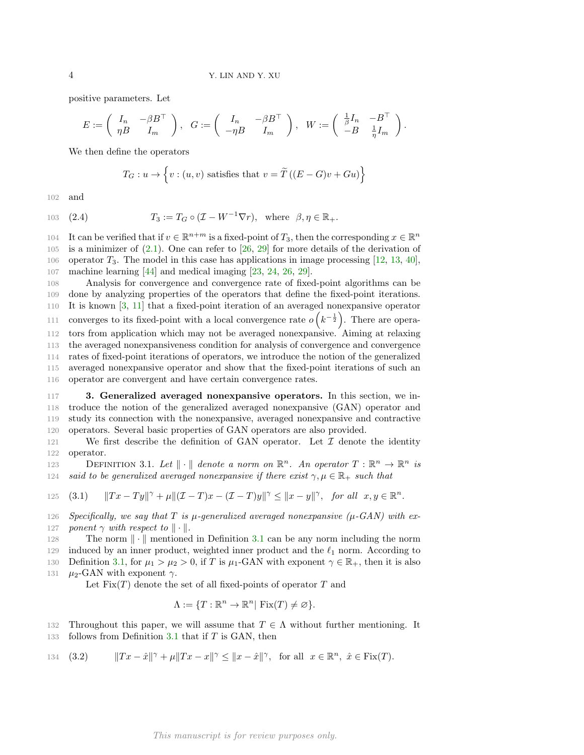positive parameters. Let

$$
E := \begin{pmatrix} I_n & -\beta B^{\top} \\ \eta B & I_m \end{pmatrix}, \quad G := \begin{pmatrix} I_n & -\beta B^{\top} \\ -\eta B & I_m \end{pmatrix}, \quad W := \begin{pmatrix} \frac{1}{\beta} I_n & -B^{\top} \\ -B & \frac{1}{\eta} I_m \end{pmatrix}.
$$

We then define the operators

<span id="page-3-2"></span>
$$
T_G: u \to \left\{v: (u, v) \text{ satisfies that } v = \widetilde{T}((E - G)v + Gu)\right\}
$$

102 and

103 (2.4) 
$$
T_3 := T_G \circ (\mathcal{I} - W^{-1} \nabla r), \text{ where } \beta, \eta \in \mathbb{R}_+.
$$

104 It can be verified that if  $v \in \mathbb{R}^{n+m}$  is a fixed-point of  $T_3$ , then the corresponding  $x \in \mathbb{R}^n$ 105 is a minimizer of [\(2.1\)](#page-1-0). One can refer to [\[26,](#page-23-16) [29\]](#page-24-4) for more details of the derivation of 106 operator  $T_3$ . The model in this case has applications in image processing  $[12, 13, 40]$  $[12, 13, 40]$  $[12, 13, 40]$  $[12, 13, 40]$ , 107 machine learning [\[44\]](#page-24-20) and medical imaging [\[23,](#page-23-19) [24,](#page-23-2) [26,](#page-23-16) [29\]](#page-24-4).

 Analysis for convergence and convergence rate of fixed-point algorithms can be done by analyzing properties of the operators that define the fixed-point iterations. It is known [\[3,](#page-23-10) [11\]](#page-23-20) that a fixed-point iteration of an averaged nonexpansive operator 111 converges to its fixed-point with a local convergence rate  $o(k^{-\frac{1}{2}})$ . There are opera- tors from application which may not be averaged nonexpansive. Aiming at relaxing the averaged nonexpansiveness condition for analysis of convergence and convergence rates of fixed-point iterations of operators, we introduce the notion of the generalized averaged nonexpansive operator and show that the fixed-point iterations of such an operator are convergent and have certain convergence rates.

 3. Generalized averaged nonexpansive operators. In this section, we in- troduce the notion of the generalized averaged nonexpansive (GAN) operator and study its connection with the nonexpansive, averaged nonexpansive and contractive operators. Several basic properties of GAN operators are also provided.

121 We first describe the definition of GAN operator. Let  $\mathcal I$  denote the identity 122 operator.

<span id="page-3-1"></span>DEFINITION 3.1. Let  $\|\cdot\|$  denote a norm on  $\mathbb{R}^n$ . An operator  $T : \mathbb{R}^n \to \mathbb{R}^n$  is 124 said to be generalized averaged nonexpansive if there exist  $\gamma, \mu \in \mathbb{R}_+$  such that

<span id="page-3-0"></span>125 (3.1) 
$$
||Tx - Ty||^{\gamma} + \mu ||( \mathcal{I} - T)x - ( \mathcal{I} - T)y||^{\gamma} \le ||x - y||^{\gamma}, \text{ for all } x, y \in \mathbb{R}^{n}.
$$

126 Specifically, we say that T is  $\mu$ -generalized averaged nonexpansive ( $\mu$ -GAN) with ex-127 ponent  $\gamma$  with respect to  $\|\cdot\|.$ 

128 The norm  $\|\cdot\|$  mentioned in Definition [3.1](#page-3-0) can be any norm including the norm 129 induced by an inner product, weighted inner product and the  $\ell_1$  norm. According to 130 Definition [3.1,](#page-3-1) for  $\mu_1 > \mu_2 > 0$ , if T is  $\mu_1$ -GAN with exponent  $\gamma \in \mathbb{R}_+$ , then it is also 131  $\mu_2$ -GAN with exponent  $\gamma$ .

Let  $Fix(T)$  denote the set of all fixed-points of operator T and

$$
\Lambda := \{ T : \mathbb{R}^n \to \mathbb{R}^n \mid \text{Fix}(T) \neq \varnothing \}.
$$

- 132 Throughout this paper, we will assume that  $T \in \Lambda$  without further mentioning. It
- 133 follows from Definition [3.1](#page-3-1) that if  $T$  is GAN, then

134 (3.2) 
$$
||Tx - \hat{x}||^{\gamma} + \mu ||Tx - x||^{\gamma} \le ||x - \hat{x}||^{\gamma}, \text{ for all } x \in \mathbb{R}^n, \ \hat{x} \in \text{Fix}(T).
$$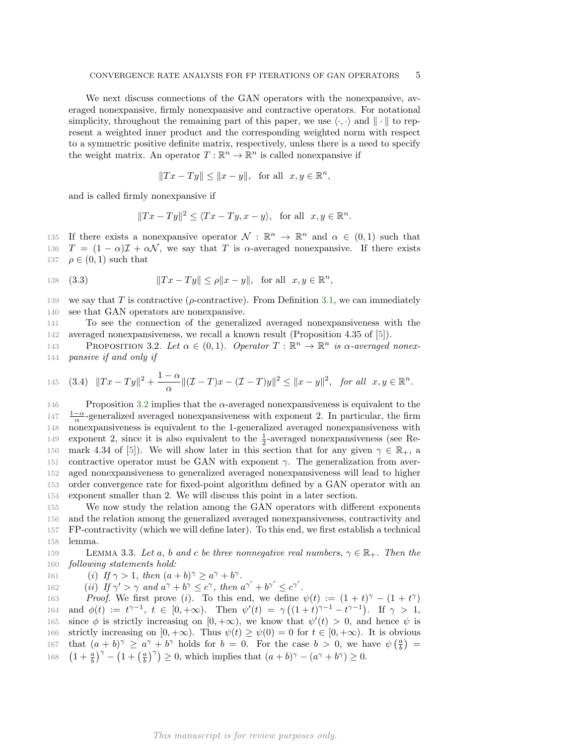We next discuss connections of the GAN operators with the nonexpansive, averaged nonexpansive, firmly nonexpansive and contractive operators. For notational simplicity, throughout the remaining part of this paper, we use  $\langle \cdot, \cdot \rangle$  and  $\| \cdot \|$  to represent a weighted inner product and the corresponding weighted norm with respect to a symmetric positive definite matrix, respectively, unless there is a need to specify the weight matrix. An operator  $T : \mathbb{R}^n \to \mathbb{R}^n$  is called nonexpansive if

$$
||Tx - Ty|| \le ||x - y||, \text{ for all } x, y \in \mathbb{R}^n,
$$

and is called firmly nonexpansive if

<span id="page-4-2"></span>
$$
||Tx - Ty||^2 \le \langle Tx - Ty, x - y \rangle
$$
, for all  $x, y \in \mathbb{R}^n$ .

135 If there exists a nonexpansive operator  $\mathcal{N}: \mathbb{R}^n \to \mathbb{R}^n$  and  $\alpha \in (0,1)$  such that 136  $T = (1 - \alpha)\mathcal{I} + \alpha\mathcal{N}$ , we say that T is  $\alpha$ -averaged nonexpansive. If there exists 137  $\rho \in (0, 1)$  such that

138 (3.3) 
$$
||Tx - Ty|| \le \rho ||x - y||, \text{ for all } x, y \in \mathbb{R}^n,
$$

139 we say that T is contractive ( $\rho$ -contractive). From Definition [3.1,](#page-3-1) we can immediately 140 see that GAN operators are nonexpansive.

141 To see the connection of the generalized averaged nonexpansiveness with the 142 averaged nonexpansiveness, we recall a known result (Proposition 4.35 of [\[5\]](#page-23-9)).

<span id="page-4-0"></span>143 PROPOSITION 3.2. Let  $\alpha \in (0,1)$ . Operator  $T : \mathbb{R}^n \to \mathbb{R}^n$  is a-averaged nonex-144 pansive if and only if

145 (3.4) 
$$
||Tx - Ty||^2 + \frac{1-\alpha}{\alpha} ||( \mathcal{I} - T)x - ( \mathcal{I} - T)y||^2 \le ||x - y||^2
$$
, for all  $x, y \in \mathbb{R}^n$ .

146 Proposition [3.2](#page-4-0) implies that the  $\alpha$ -averaged nonexpansiveness is equivalent to the  $147 \frac{1-\alpha}{\alpha}$ -generalized averaged nonexpansiveness with exponent 2. In particular, the firm 148 nonexpansiveness is equivalent to the 1-generalized averaged nonexpansiveness with 149 exponent 2, since it is also equivalent to the  $\frac{1}{2}$ -averaged nonexpansiveness (see Re-150 mark 4.34 of [\[5\]](#page-23-9)). We will show later in this section that for any given  $\gamma \in \mathbb{R}_+$ , a 151 contractive operator must be GAN with exponent  $\gamma$ . The generalization from aver-152 aged nonexpansiveness to generalized averaged nonexpansiveness will lead to higher 153 order convergence rate for fixed-point algorithm defined by a GAN operator with an 154 exponent smaller than 2. We will discuss this point in a later section.

 We now study the relation among the GAN operators with different exponents and the relation among the generalized averaged nonexpansiveness, contractivity and FP-contractivity (which we will define later). To this end, we first establish a technical 158 lemma.

## <span id="page-4-1"></span>159 LEMMA 3.3. Let a, b and c be three nonnegative real numbers,  $\gamma \in \mathbb{R}_+$ . Then the 160 following statements hold:

161 (i) If  $\gamma > 1$ , then  $(a+b)^{\gamma} \ge a^{\gamma} + b^{\gamma}$ .

162 (ii) If  $\gamma' > \gamma$  and  $a^{\gamma} + b^{\gamma} \leq c^{\gamma}$ , then  $a^{\gamma'} + b^{\gamma'} \leq c^{\gamma'}$ .

163 Proof. We first prove (i). To this end, we define  $\psi(t) := (1 + t)^{\gamma} - (1 + t^{\gamma})$ 164 and  $\phi(t) := t^{\gamma-1}, t \in [0, +\infty)$ . Then  $\psi'(t) = \gamma((1+t)^{\gamma-1} - t^{\gamma-1})$ . If  $\gamma > 1$ , 165 since  $\phi$  is strictly increasing on  $[0, +\infty)$ , we know that  $\psi'(t) > 0$ , and hence  $\psi$  is 166 strictly increasing on  $[0, +\infty)$ . Thus  $\psi(t) \geq \psi(0) = 0$  for  $t \in [0, +\infty)$ . It is obvious 167 that  $(a + b)^{\gamma} \ge a^{\gamma} + b^{\gamma}$  holds for  $b = 0$ . For the case  $b > 0$ , we have  $\psi\left(\frac{a}{b}\right) =$ 168  $\left(1+\frac{a}{b}\right)^{\gamma} - \left(1+\left(\frac{a}{b}\right)^{\gamma}\right) \ge 0$ , which implies that  $(a+b)^{\gamma} - \left(a^{\gamma}+b^{\gamma}\right) \ge 0$ .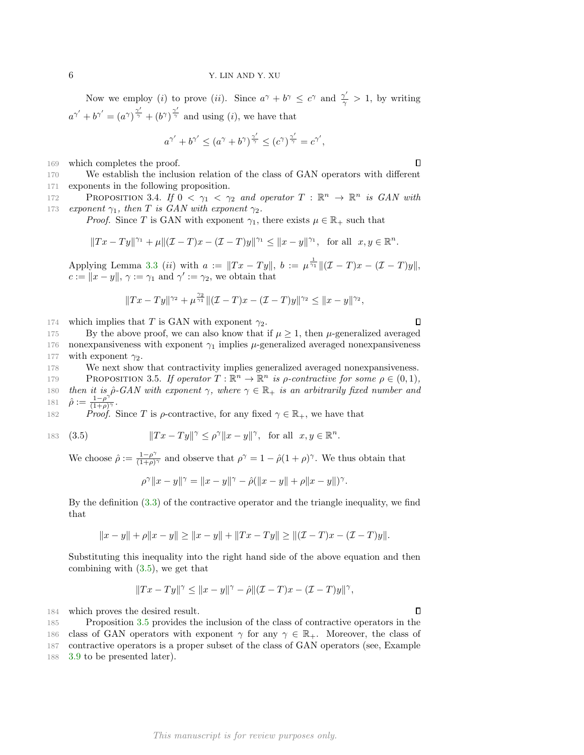Now we employ (*i*) to prove (*ii*). Since  $a^{\gamma} + b^{\gamma} \leq c^{\gamma}$  and  $\frac{\gamma'}{\gamma} > 1$ , by writing  $a^{\gamma'} + b^{\gamma'} = (a^{\gamma})^{\frac{\gamma'}{\gamma}} + (b^{\gamma})^{\frac{\gamma'}{\gamma}}$  and using (*i*), we have that

$$
a^{\gamma'}+b^{\gamma'}\leq (a^{\gamma}+b^{\gamma})^{\frac{\gamma'}{\gamma}}\leq (c^{\gamma})^{\frac{\gamma'}{\gamma}}=c^{\gamma'},
$$

169 which completes the proof.

170 We establish the inclusion relation of the class of GAN operators with different 171 exponents in the following proposition.

<span id="page-5-2"></span>**PROPOSITION 3.4.** If  $0 < \gamma_1 < \gamma_2$  and operator  $T : \mathbb{R}^n \to \mathbb{R}^n$  is GAN with 173 exponent  $\gamma_1$ , then T is GAN with exponent  $\gamma_2$ .

*Proof.* Since T is GAN with exponent  $\gamma_1$ , there exists  $\mu \in \mathbb{R}_+$  such that

$$
\|Tx-Ty\|^{\gamma_1}+\mu\|(\mathcal{I}-T)x-(\mathcal{I}-T)y\|^{\gamma_1}\leq \|x-y\|^{\gamma_1},\ \ \text{for all}\ \ x,y\in\mathbb{R}^n.
$$

Applying Lemma [3.3](#page-4-1) (*ii*) with  $a := ||Tx - Ty||$ ,  $b := \mu^{\frac{1}{\gamma_1}} ||(I - T)x - (I - T)y||$ ,  $c := ||x - y||, \, \gamma := \gamma_1$  and  $\gamma' := \gamma_2$ , we obtain that

$$
||Tx - Ty||^{\gamma_2} + \mu^{\frac{\gamma_2}{\gamma_1}} ||( \mathcal{I} - T)x - ( \mathcal{I} - T)y||^{\gamma_2} \le ||x - y||^{\gamma_2},
$$

174 which implies that T is GAN with exponent  $\gamma_2$ .

175 By the above proof, we can also know that if  $\mu \geq 1$ , then  $\mu$ -generalized averaged 176 nonexpansiveness with exponent  $\gamma_1$  implies  $\mu$ -generalized averaged nonexpansiveness 177 with exponent  $\gamma_2$ .

178 We next show that contractivity implies generalized averaged nonexpansiveness.

<span id="page-5-1"></span>179 PROPOSITION 3.5. If operator  $T : \mathbb{R}^n \to \mathbb{R}^n$  is p-contractive for some  $\rho \in (0,1)$ , 180 then it is  $\hat{\rho}$ -GAN with exponent  $\gamma$ , where  $\gamma \in \mathbb{R}_+$  is an arbitrarily fixed number and  $\hat{\rho} := \frac{1-\rho^{\gamma}}{(1+\rho)^{\gamma}}$ 181  $\hat{\rho} := \frac{1-\rho'}{(1+\rho)^{\gamma}}$ .

182 Proof. Since T is  $\rho$ -contractive, for any fixed  $\gamma \in \mathbb{R}_+$ , we have that

$$
183 \quad (3.5
$$

183 (3.5) 
$$
||Tx - Ty||^{\gamma} \le \rho^{\gamma} ||x - y||^{\gamma}, \text{ for all } x, y \in \mathbb{R}^n.
$$

We choose  $\hat{\rho} := \frac{1-\rho^{\gamma}}{(1+\rho)^{\gamma}}$  $\frac{1-\rho^{\gamma}}{(1+\rho)^{\gamma}}$  and observe that  $\rho^{\gamma} = 1 - \hat{\rho}(1+\rho)^{\gamma}$ . We thus obtain that

<span id="page-5-0"></span>
$$
\rho^{\gamma}||x - y||^{\gamma} = ||x - y||^{\gamma} - \hat{\rho}(||x - y|| + \rho||x - y||)^{\gamma}.
$$

By the definition [\(3.3\)](#page-4-2) of the contractive operator and the triangle inequality, we find that

$$
||x - y|| + \rho ||x - y|| \ge ||x - y|| + ||Tx - Ty|| \ge ||(L - T)x - (L - T)y||.
$$

Substituting this inequality into the right hand side of the above equation and then combining with [\(3.5\)](#page-5-0), we get that

$$
||Tx - Ty||^{\gamma} \le ||x - y||^{\gamma} - \hat{\rho}||(x - T)x - (x - T)y||^{\gamma},
$$

184 which proves the desired result.

 $\Box$ 

 $\Box$ 

 $\Box$ 

<sup>185</sup> Proposition [3.5](#page-5-1) provides the inclusion of the class of contractive operators in the 186 class of GAN operators with exponent  $\gamma$  for any  $\gamma \in \mathbb{R}_+$ . Moreover, the class of 187 contractive operators is a proper subset of the class of GAN operators (see, Example 188 [3.9](#page-7-0) to be presented later).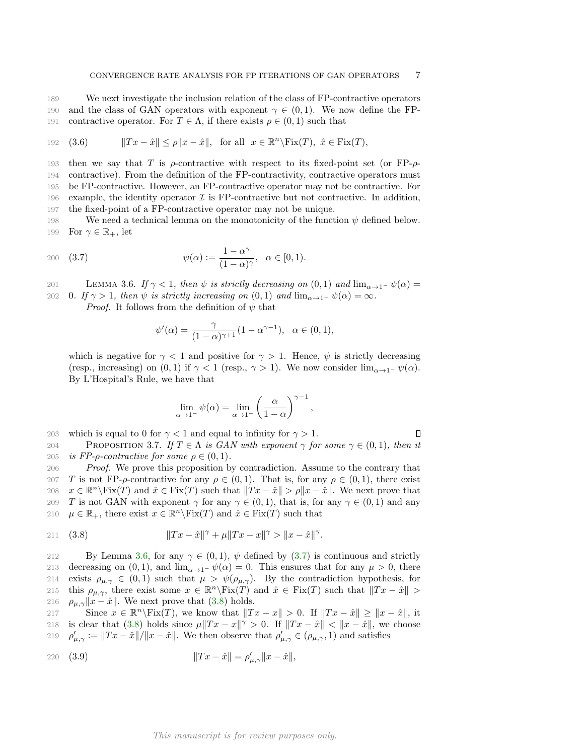189 We next investigate the inclusion relation of the class of FP-contractive operators 190 and the class of GAN operators with exponent  $\gamma \in (0,1)$ . We now define the FP-191 contractive operator. For  $T \in \Lambda$ , if there exists  $\rho \in (0,1)$  such that

192 (3.6) 
$$
||Tx - \hat{x}|| \le \rho ||x - \hat{x}||, \text{ for all } x \in \mathbb{R}^n \setminus \text{Fix}(T), \ \hat{x} \in \text{Fix}(T),
$$

193 then we say that T is  $\rho$ -contractive with respect to its fixed-point set (or FP- $\rho$ -194 contractive). From the definition of the FP-contractivity, contractive operators must 195 be FP-contractive. However, an FP-contractive operator may not be contractive. For 196 example, the identity operator  $\mathcal I$  is FP-contractive but not contractive. In addition, 197 the fixed-point of a FP-contractive operator may not be unique.

198 We need a technical lemma on the monotonicity of the function  $\psi$  defined below. 199 For  $\gamma \in \mathbb{R}_+$ , let

200 (3.7) 
$$
\psi(\alpha) := \frac{1 - \alpha^{\gamma}}{(1 - \alpha)^{\gamma}}, \ \alpha \in [0, 1).
$$

<span id="page-6-0"></span>201 LEMMA 3.6. If  $\gamma < 1$ , then  $\psi$  is strictly decreasing on  $(0, 1)$  and  $\lim_{\alpha \to 1^-} \psi(\alpha) =$ 202 0. If  $\gamma > 1$ , then  $\psi$  is strictly increasing on  $(0, 1)$  and  $\lim_{\alpha \to 1^-} \psi(\alpha) = \infty$ .

*Proof.* It follows from the definition of  $\psi$  that

<span id="page-6-1"></span>
$$
\psi'(\alpha) = \frac{\gamma}{(1-\alpha)^{\gamma+1}} (1-\alpha^{\gamma-1}), \ \alpha \in (0,1),
$$

which is negative for  $\gamma < 1$  and positive for  $\gamma > 1$ . Hence,  $\psi$  is strictly decreasing (resp., increasing) on (0, 1) if  $\gamma < 1$  (resp.,  $\gamma > 1$ ). We now consider lim<sub>α→1</sub>-  $\psi(\alpha)$ . By L'Hospital's Rule, we have that

$$
\lim_{\alpha \to 1^-} \psi(\alpha) = \lim_{\alpha \to 1^-} \left(\frac{\alpha}{1-\alpha}\right)^{\gamma-1}
$$

,

<span id="page-6-4"></span>203 which is equal to 0 for  $\gamma$  < 1 and equal to infinity for  $\gamma > 1$ .  $\Box$ 204 PROPOSITION 3.7. If  $T \in \Lambda$  is GAN with exponent  $\gamma$  for some  $\gamma \in (0,1)$ , then it 205 *is FP-* $\rho$ *-contractive for some*  $\rho \in (0,1)$ .

206 Proof. We prove this proposition by contradiction. Assume to the contrary that 207 T is not FP- $\rho$ -contractive for any  $\rho \in (0,1)$ . That is, for any  $\rho \in (0,1)$ , there exist 208  $x \in \mathbb{R}^n \backslash \text{Fix}(T)$  and  $\hat{x} \in \text{Fix}(T)$  such that  $||Tx - \hat{x}|| > \rho ||x - \hat{x}||$ . We next prove that 209 T is not GAN with exponent  $\gamma$  for any  $\gamma \in (0,1)$ , that is, for any  $\gamma \in (0,1)$  and any 210  $\mu \in \mathbb{R}_+$ , there exist  $x \in \mathbb{R}^n \backslash \text{Fix}(T)$  and  $\hat{x} \in \text{Fix}(T)$  such that

<span id="page-6-2"></span>211 (3.8) 
$$
||Tx - \hat{x}||^{\gamma} + \mu ||Tx - x||^{\gamma} > ||x - \hat{x}||^{\gamma}.
$$

212 By Lemma [3.6,](#page-6-0) for any  $\gamma \in (0,1)$ ,  $\psi$  defined by [\(3.7\)](#page-6-1) is continuous and strictly 213 decreasing on (0,1), and  $\lim_{\alpha\to 1^-} \psi(\alpha) = 0$ . This ensures that for any  $\mu > 0$ , there 214 exists  $\rho_{\mu,\gamma} \in (0,1)$  such that  $\mu > \psi(\rho_{\mu,\gamma})$ . By the contradiction hypothesis, for 215 this  $\rho_{\mu,\gamma}$ , there exist some  $x \in \mathbb{R}^n \backslash \text{Fix}(T)$  and  $\hat{x} \in \text{Fix}(T)$  such that  $||Tx - \hat{x}|| >$ 216  $\rho_{\mu,\gamma}||x-\hat{x}||$ . We next prove that [\(3.8\)](#page-6-2) holds.

217 Since  $x \in \mathbb{R}^n \backslash \text{Fix}(T)$ , we know that  $||Tx - x|| > 0$ . If  $||Tx - \hat{x}|| \ge ||x - \hat{x}||$ , it 218 is clear that [\(3.8\)](#page-6-2) holds since  $\mu \|Tx - x\|^{\gamma} > 0$ . If  $\|Tx - \hat{x}\| < \|x - \hat{x}\|$ , we choose 219  $\rho'_{\mu,\gamma} := ||Tx - \hat{x}|| / ||x - \hat{x}||$ . We then observe that  $\rho'_{\mu,\gamma} \in (\rho_{\mu,\gamma}, 1)$  and satisfies

<span id="page-6-3"></span>220 (3.9) 
$$
||Tx - \hat{x}|| = \rho'_{\mu,\gamma} ||x - \hat{x}||,
$$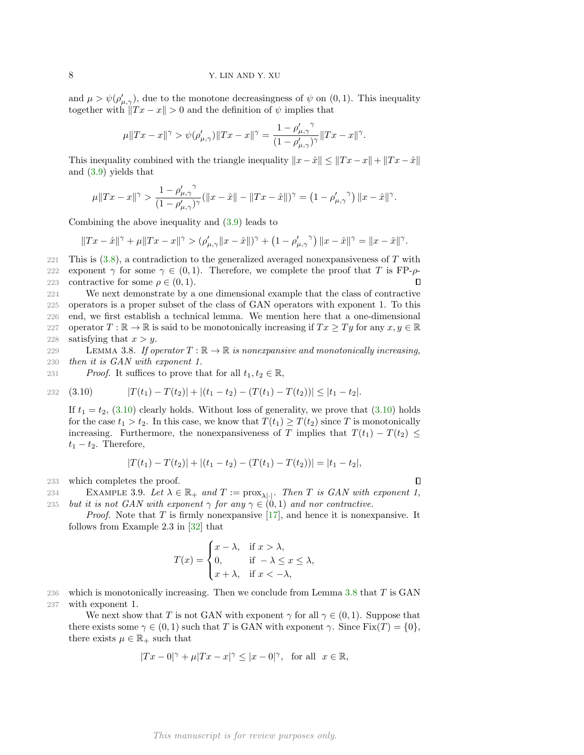and  $\mu > \psi(\rho'_{\mu,\gamma})$ , due to the monotone decreasingness of  $\psi$  on  $(0,1)$ . This inequality together with  $\|Tx - x\| > 0$  and the definition of  $\psi$  implies that

$$
\mu\|Tx-x\|^{\gamma}>\psi(\rho'_{\mu,\gamma})\|Tx-x\|^{\gamma}=\frac{1-\rho'_{\mu,\gamma}}{(1-\rho'_{\mu,\gamma})^{\gamma}}\|Tx-x\|^{\gamma}.
$$

This inequality combined with the triangle inequality  $||x - \hat{x}|| \le ||Tx - x|| + ||Tx - \hat{x}||$ and [\(3.9\)](#page-6-3) yields that

$$
\mu\|Tx-x\|^\gamma>\frac{1-\rho'_{\mu,\gamma}}{(1-\rho'_{\mu,\gamma})^\gamma}(\|x-\hat{x}\|-\|Tx-\hat{x}\|)^\gamma=\left(1-\rho'_{\mu,\gamma}^{\prime\quad\gamma}\right)\|x-\hat{x}\|^\gamma.
$$

Combining the above inequality and [\(3.9\)](#page-6-3) leads to

$$
||Tx - \hat{x}||^{\gamma} + \mu ||Tx - x||^{\gamma} > (\rho'_{\mu,\gamma} ||x - \hat{x}||)^{\gamma} + (1 - \rho'_{\mu,\gamma}^{\gamma}) ||x - \hat{x}||^{\gamma} = ||x - \hat{x}||^{\gamma}.
$$

221 This is  $(3.8)$ , a contradiction to the generalized averaged nonexpansiveness of T with 222 exponent  $\gamma$  for some  $\gamma \in (0,1)$ . Therefore, we complete the proof that T is FP- $\rho$ - $\Box$ 223 contractive for some  $\rho \in (0,1)$ .

224 We next demonstrate by a one dimensional example that the class of contractive 225 operators is a proper subset of the class of GAN operators with exponent 1. To this 226 end, we first establish a technical lemma. We mention here that a one-dimensional 227 operator  $T : \mathbb{R} \to \mathbb{R}$  is said to be monotonically increasing if  $Tx \ge Ty$  for any  $x, y \in \mathbb{R}$ 228 satisfying that  $x > y$ .

<span id="page-7-2"></span>229 LEMMA 3.8. If operator  $T : \mathbb{R} \to \mathbb{R}$  is nonexpansive and monotonically increasing, 230 then it is GAN with exponent 1.

231 Proof. It suffices to prove that for all  $t_1, t_2 \in \mathbb{R}$ ,

232 (3.10) 
$$
|T(t_1) - T(t_2)| + |(t_1 - t_2) - (T(t_1) - T(t_2))| \le |t_1 - t_2|.
$$

<span id="page-7-1"></span>If  $t_1 = t_2$ , [\(3.10\)](#page-7-1) clearly holds. Without loss of generality, we prove that (3.10) holds for the case  $t_1 > t_2$ . In this case, we know that  $T(t_1) \geq T(t_2)$  since T is monotonically increasing. Furthermore, the nonexpansiveness of T implies that  $T(t_1) - T(t_2) \leq$  $t_1 - t_2$ . Therefore,

$$
|T(t_1)-T(t_2)|+|(t_1-t_2)-(T(t_1)-T(t_2))|=|t_1-t_2|,
$$

 $\Box$ 

233 which completes the proof.

<span id="page-7-0"></span>EXAMPLE 3.9. Let  $\lambda \in \mathbb{R}_+$  and  $T := \text{prox}_{\lambda | \cdot |}$ . Then T is GAN with exponent 1, 235 but it is not GAN with exponent  $\gamma$  for any  $\gamma \in (0,1)$  and nor contractive.

*Proof.* Note that T is firmly nonexpansive [\[17\]](#page-23-21), and hence it is nonexpansive. It follows from Example 2.3 in [\[32\]](#page-24-1) that

$$
T(x) = \begin{cases} x - \lambda, & \text{if } x > \lambda, \\ 0, & \text{if } -\lambda \le x \le \lambda, \\ x + \lambda, & \text{if } x < -\lambda, \end{cases}
$$

236 which is monotonically increasing. Then we conclude from Lemma [3.8](#page-7-2) that  $T$  is GAN 237 with exponent 1.

We next show that T is not GAN with exponent  $\gamma$  for all  $\gamma \in (0,1)$ . Suppose that there exists some  $\gamma \in (0,1)$  such that T is GAN with exponent  $\gamma$ . Since Fix $(T) = \{0\}$ , there exists  $\mu \in \mathbb{R}_+$  such that

$$
|Tx - 0|^\gamma + \mu |Tx - x|^\gamma \le |x - 0|^\gamma, \text{ for all } x \in \mathbb{R},
$$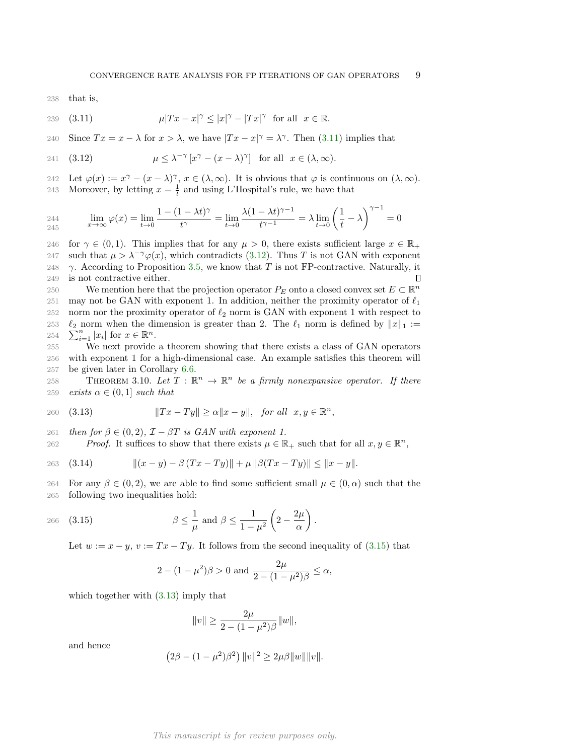238 that is,

<span id="page-8-0"></span>239 (3.11) 
$$
\mu|Tx - x|^{\gamma} \le |x|^{\gamma} - |Tx|^{\gamma} \text{ for all } x \in \mathbb{R}.
$$

240 Since  $Tx = x - \lambda$  for  $x > \lambda$ , we have  $|Tx - x|^\gamma = \lambda^\gamma$ . Then [\(3.11\)](#page-8-0) implies that

<span id="page-8-1"></span>241 (3.12) 
$$
\mu \leq \lambda^{-\gamma} \left[ x^{\gamma} - (x - \lambda)^{\gamma} \right] \text{ for all } x \in (\lambda, \infty).
$$

242 Let  $\varphi(x) := x^{\gamma} - (x - \lambda)^{\gamma}, x \in (\lambda, \infty)$ . It is obvious that  $\varphi$  is continuous on  $(\lambda, \infty)$ . 243 Moreover, by letting  $x = \frac{1}{t}$  and using L'Hospital's rule, we have that

$$
\lim_{245} \varphi(x) = \lim_{t \to \infty} \frac{1 - (1 - \lambda t)^{\gamma}}{t^{\gamma}} = \lim_{t \to 0} \frac{\lambda (1 - \lambda t)^{\gamma - 1}}{t^{\gamma - 1}} = \lambda \lim_{t \to 0} \left(\frac{1}{t} - \lambda\right)^{\gamma - 1} = 0
$$

246 for  $\gamma \in (0,1)$ . This implies that for any  $\mu > 0$ , there exists sufficient large  $x \in \mathbb{R}_+$ 247 such that  $\mu > \lambda^{-\gamma} \varphi(x)$ , which contradicts [\(3.12\)](#page-8-1). Thus T is not GAN with exponent 248  $\gamma$ . According to Proposition [3.5,](#page-5-1) we know that T is not FP-contractive. Naturally, it 249 is not contractive either.  $\Box$ 250 We mention here that the projection operator  $P_E$  onto a closed convex set  $E \subset \mathbb{R}^n$ 

251 may not be GAN with exponent 1. In addition, neither the proximity operator of  $\ell_1$ 252 norm nor the proximity operator of  $\ell_2$  norm is GAN with exponent 1 with respect to 253 254  $\sum_{i=1}^n |x_i|$  for  $x \in \mathbb{R}^n$ .  $\ell_2$  norm when the dimension is greater than 2. The  $\ell_1$  norm is defined by  $||x||_1 :=$ 

255 We next provide a theorem showing that there exists a class of GAN operators 256 with exponent 1 for a high-dimensional case. An example satisfies this theorem will 257 be given later in Corollary [6.6.](#page-21-0)

<span id="page-8-5"></span>258 THEOREM 3.10. Let  $T : \mathbb{R}^n \to \mathbb{R}^n$  be a firmly nonexpansive operator. If there 259 exists  $\alpha \in (0,1]$  such that

<span id="page-8-3"></span>
$$
260 \quad (3.13)
$$
\n
$$
||Tx - Ty|| \ge \alpha ||x - y||, \quad \text{for all} \quad x, y \in \mathbb{R}^n,
$$

261 then for  $\beta \in (0, 2)$ ,  $\mathcal{I} - \beta T$  is GAN with exponent 1.

262 Proof. It suffices to show that there exists  $\mu \in \mathbb{R}_+$  such that for all  $x, y \in \mathbb{R}^n$ ,

<span id="page-8-4"></span>263 (3.14) 
$$
\|(x - y) - \beta (Tx - Ty)\| + \mu \|\beta (Tx - Ty)\| \le \|x - y\|.
$$

264 For any  $\beta \in (0, 2)$ , we are able to find some sufficient small  $\mu \in (0, \alpha)$  such that the 265 following two inequalities hold:

266 (3.15) 
$$
\beta \leq \frac{1}{\mu} \text{ and } \beta \leq \frac{1}{1-\mu^2} \left(2 - \frac{2\mu}{\alpha}\right).
$$

Let  $w := x - y$ ,  $v := Tx - Ty$ . It follows from the second inequality of [\(3.15\)](#page-8-2) that

<span id="page-8-2"></span>
$$
2 - (1 - \mu^2)\beta > 0
$$
 and  $\frac{2\mu}{2 - (1 - \mu^2)\beta} \le \alpha$ ,

which together with  $(3.13)$  imply that

$$
||v|| \geq \frac{2\mu}{2-(1-\mu^2)\beta} ||w||,
$$

and hence

$$
(2\beta - (1 - \mu^2)\beta^2) ||v||^2 \ge 2\mu\beta ||w|| ||v||.
$$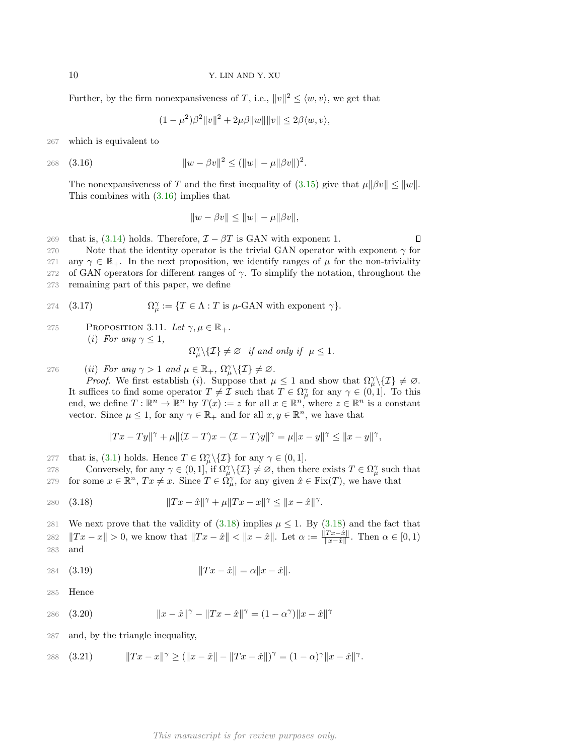Further, by the firm nonexpansiveness of T, i.e.,  $||v||^2 \le \langle w, v \rangle$ , we get that

<span id="page-9-0"></span>
$$
(1 - \mu^2)\beta^2 \|v\|^2 + 2\mu\beta \|w\| \|v\| \le 2\beta \langle w, v \rangle,
$$

267 which is equivalent to

268 (3.16) 
$$
||w - \beta v||^2 \le (||w|| - \mu||\beta v||)^2.
$$

The nonexpansiveness of T and the first inequality of [\(3.15\)](#page-8-2) give that  $\mu||\beta v|| \leq ||w||$ . This combines with [\(3.16\)](#page-9-0) implies that

$$
||w - \beta v|| \le ||w|| - \mu||\beta v||,
$$

269 that is,  $(3.14)$  holds. Therefore,  $\mathcal{I} - \beta T$  is GAN with exponent 1.  $\Box$ 270 Note that the identity operator is the trivial GAN operator with exponent  $\gamma$  for 271 any  $\gamma \in \mathbb{R}_+$ . In the next proposition, we identify ranges of  $\mu$  for the non-triviality 272 of GAN operators for different ranges of  $\gamma$ . To simplify the notation, throughout the

273 remaining part of this paper, we define

274 (3.17) 
$$
\Omega_{\mu}^{\gamma} := \{ T \in \Lambda : T \text{ is } \mu\text{-GAN with exponent } \gamma \}.
$$

275 PROPOSITION 3.11. Let  $\gamma, \mu \in \mathbb{R}_+$ . (i) For any  $\gamma \leq 1$ ,

$$
\Omega_{\mu}^{\gamma}\backslash\{\mathcal{I}\}\neq\varnothing\quad\text{if and only if}\quad\mu\leq1.
$$

276 (ii) For any  $\gamma > 1$  and  $\mu \in \mathbb{R}_+$ ,  $\Omega_{\mu}^{\gamma} \setminus \{ \mathcal{I} \} \neq \emptyset$ .

*Proof.* We first establish (i). Suppose that  $\mu \leq 1$  and show that  $\Omega_{\mu}^{\gamma}\setminus\{I\} \neq \emptyset$ . It suffices to find some operator  $T \neq \mathcal{I}$  such that  $T \in \Omega_{\mu}^{\gamma}$  for any  $\gamma \in (0,1]$ . To this end, we define  $T: \mathbb{R}^n \to \mathbb{R}^n$  by  $T(x) := z$  for all  $x \in \mathbb{R}^n$ , where  $z \in \mathbb{R}^n$  is a constant vector. Since  $\mu \leq 1$ , for any  $\gamma \in \mathbb{R}_+$  and for all  $x, y \in \mathbb{R}^n$ , we have that

<span id="page-9-1"></span>
$$
\|Tx-Ty\|^{\gamma}+\mu\|( \mathcal{I}-T)x-(\mathcal{I}-T)y\|^{\gamma}=\mu\|x-y\|^{\gamma}\leq\|x-y\|^{\gamma},
$$

277 that is, [\(3.1\)](#page-3-0) holds. Hence  $T \in \Omega_{\mu}^{\gamma} \setminus \{ \mathcal{I} \}$  for any  $\gamma \in (0, 1]$ .

278 Conversely, for any  $\gamma \in (0,1]$ , if  $\Omega_{\mu}^{\gamma} \setminus \{ \mathcal{I} \} \neq \emptyset$ , then there exists  $T \in \Omega_{\mu}^{\gamma}$  such that 279 for some  $x \in \mathbb{R}^n$ ,  $Tx \neq x$ . Since  $T \in \Omega_{\mu}^{\gamma}$ , for any given  $\hat{x} \in \text{Fix}(T)$ , we have that

280 (3.18) 
$$
||Tx - \hat{x}||^{\gamma} + \mu ||Tx - x||^{\gamma} \le ||x - \hat{x}||^{\gamma}.
$$

281 We next prove that the validity of  $(3.18)$  implies  $\mu \leq 1$ . By  $(3.18)$  and the fact that  $||Tx - x|| > 0$ , we know that  $||Tx - \hat{x}|| < ||x - \hat{x}||$ . Let  $\alpha := \frac{||Tx - \hat{x}||}{||x - \hat{x}||}$ 282  $||Tx - x|| > 0$ , we know that  $||Tx - \hat{x}|| < ||x - \hat{x}||$ . Let  $\alpha := \frac{||Tx - x||}{||x - \hat{x}||}$ . Then  $\alpha \in [0, 1)$ 283 and

284 (3.19) 
$$
||Tx - \hat{x}|| = \alpha ||x - \hat{x}||.
$$

285 Hence

<span id="page-9-2"></span>286 (3.20) 
$$
||x - \hat{x}||^{\gamma} - ||Tx - \hat{x}||^{\gamma} = (1 - \alpha^{\gamma})||x - \hat{x}||^{\gamma}
$$

287 and, by the triangle inequality,

<span id="page-9-3"></span>288 (3.21)  $||Tx - x||^{\gamma} \ge (||x - \hat{x}|| - ||Tx - \hat{x}||)^{\gamma} = (1 - \alpha)^{\gamma} ||x - \hat{x}||^{\gamma}.$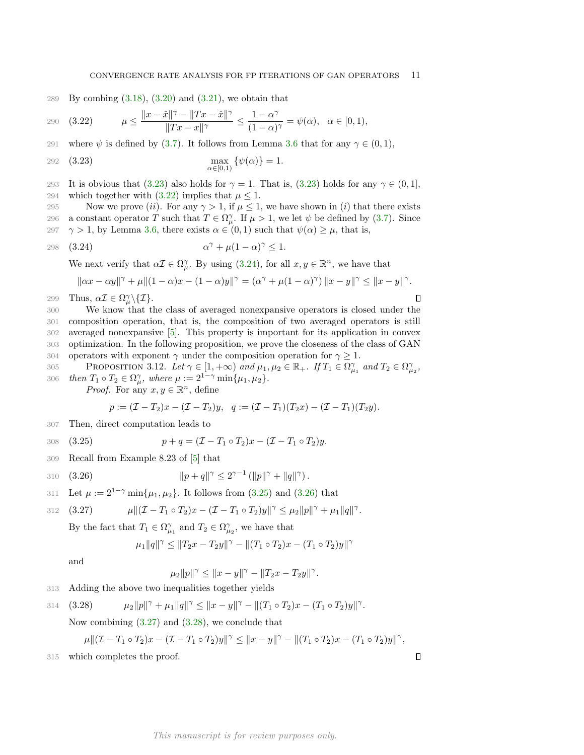#### <span id="page-10-1"></span><span id="page-10-0"></span>CONVERGENCE RATE ANALYSIS FOR FP ITERATIONS OF GAN OPERATORS 11

289 By combing  $(3.18)$ ,  $(3.20)$  and  $(3.21)$ , we obtain that

290 (3.22) 
$$
\mu \le \frac{\|x - \hat{x}\|^{\gamma} - \|Tx - \hat{x}\|^{\gamma}}{\|Tx - x\|^{\gamma}} \le \frac{1 - \alpha^{\gamma}}{(1 - \alpha)^{\gamma}} = \psi(\alpha), \ \alpha \in [0, 1),
$$

291 where  $\psi$  is defined by [\(3.7\)](#page-6-1). It follows from Lemma [3.6](#page-6-0) that for any  $\gamma \in (0,1)$ ,

292 (3.23) 
$$
\max_{\alpha \in [0,1)} \{ \psi(\alpha) \} = 1.
$$

293 It is obvious that [\(3.23\)](#page-10-0) also holds for  $\gamma = 1$ . That is, (3.23) holds for any  $\gamma \in (0, 1]$ , 294 which together with  $(3.22)$  implies that  $\mu \leq 1$ .

295 Now we prove (ii). For any  $\gamma > 1$ , if  $\mu \leq 1$ , we have shown in (i) that there exists 296 a constant operator T such that  $T \in \Omega_{\mu}^{\gamma}$ . If  $\mu > 1$ , we let  $\psi$  be defined by [\(3.7\)](#page-6-1). Since 297  $\gamma > 1$ , by Lemma [3.6,](#page-6-0) there exists  $\alpha \in (0,1)$  such that  $\psi(\alpha) \geq \mu$ , that is,

298 (3.24) 
$$
\alpha^{\gamma} + \mu(1-\alpha)^{\gamma} \leq 1.
$$

We next verify that  $\alpha \mathcal{I} \in \Omega_{\mu}^{\gamma}$ . By using [\(3.24\)](#page-10-2), for all  $x, y \in \mathbb{R}^{n}$ , we have that

<span id="page-10-2"></span>
$$
\|\alpha x - \alpha y\|^{\gamma} + \mu \|(1 - \alpha)x - (1 - \alpha)y\|^{\gamma} = (\alpha^{\gamma} + \mu(1 - \alpha)^{\gamma}) \|x - y\|^{\gamma} \le \|x - y\|^{\gamma}.
$$

299 Thus,  $\alpha \mathcal{I} \in \Omega_{\mu}^{\gamma} \setminus \{ \mathcal{I} \}.$ 

 $\Box$ 

 $\Box$ 

 We know that the class of averaged nonexpansive operators is closed under the composition operation, that is, the composition of two averaged operators is still averaged nonexpansive [\[5\]](#page-23-9). This property is important for its application in convex optimization. In the following proposition, we prove the closeness of the class of GAN 304 operators with exponent  $\gamma$  under the composition operation for  $\gamma \geq 1$ .

<span id="page-10-7"></span>305 PROPOSITION 3.12. Let  $\gamma \in [1, +\infty)$  and  $\mu_1, \mu_2 \in \mathbb{R}_+$ . If  $T_1 \in \Omega_{\mu_1}^{\gamma}$  and  $T_2 \in \Omega_{\mu_2}^{\gamma}$ , 306 then  $T_1 \circ T_2 \in \Omega_\mu^\gamma$ , where  $\mu := 2^{1-\gamma} \min\{\mu_1, \mu_2\}.$ 

*Proof.* For any  $x, y \in \mathbb{R}^n$ , define

<span id="page-10-3"></span>
$$
p := (\mathcal{I} - T_2)x - (\mathcal{I} - T_2)y, \quad q := (\mathcal{I} - T_1)(T_2x) - (\mathcal{I} - T_1)(T_2y).
$$

307 Then, direct computation leads to

308 (3.25) 
$$
p + q = (\mathcal{I} - T_1 \circ T_2)x - (\mathcal{I} - T_1 \circ T_2)y.
$$

309 Recall from Example 8.23 of [\[5\]](#page-23-9) that

310 (3.26) 
$$
||p+q||^{\gamma} \leq 2^{\gamma-1} (||p||^{\gamma} + ||q||^{\gamma}).
$$

311 Let 
$$
\mu := 2^{1-\gamma} \min{\mu_1, \mu_2}
$$
. It follows from (3.25) and (3.26) that

312 (3.27) 
$$
\mu \| ( \mathcal{I} - T_1 \circ T_2 ) x - ( \mathcal{I} - T_1 \circ T_2 ) y \|^\gamma \leq \mu_2 \| p \|^\gamma + \mu_1 \| q \|^\gamma.
$$

By the fact that  $T_1 \in \Omega_{\mu_1}^{\gamma}$  and  $T_2 \in \Omega_{\mu_2}^{\gamma}$ , we have that

<span id="page-10-5"></span><span id="page-10-4"></span>
$$
\mu_1 \|q\|^{\gamma} \le \|T_2 x - T_2 y\|^{\gamma} - \|(T_1 \circ T_2) x - (T_1 \circ T_2) y\|^{\gamma}
$$

and

<span id="page-10-6"></span>
$$
\mu_2 \|p\|^\gamma \le \|x - y\|^\gamma - \|T_2 x - T_2 y\|^\gamma.
$$

313 Adding the above two inequalities together yields

314 (3.28) 
$$
\mu_2 ||p||^{\gamma} + \mu_1 ||q||^{\gamma} \le ||x - y||^{\gamma} - ||(T_1 \circ T_2)x - (T_1 \circ T_2)y||^{\gamma}.
$$

Now combining  $(3.27)$  and  $(3.28)$ , we conclude that

$$
\mu \| ( \mathcal{I} - T_1 \circ T_2 ) x - ( \mathcal{I} - T_1 \circ T_2 ) y \|^\gamma \leq \| x - y \|^\gamma - \| (T_1 \circ T_2 ) x - (T_1 \circ T_2 ) y \|^\gamma,
$$

315 which completes the proof.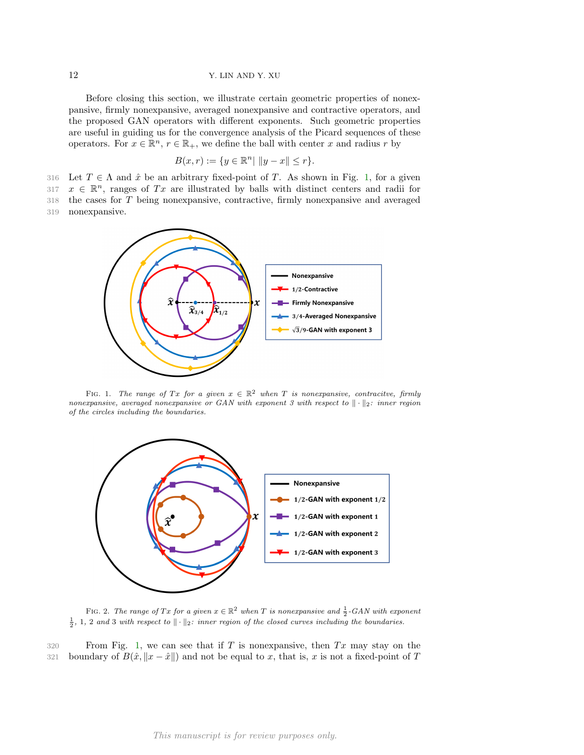Before closing this section, we illustrate certain geometric properties of nonexpansive, firmly nonexpansive, averaged nonexpansive and contractive operators, and the proposed GAN operators with different exponents. Such geometric properties are useful in guiding us for the convergence analysis of the Picard sequences of these operators. For  $x \in \mathbb{R}^n$ ,  $r \in \mathbb{R}_+$ , we define the ball with center x and radius r by

$$
B(x,r) := \{ y \in \mathbb{R}^n | \|y - x\| \le r \}.
$$

316 Let  $T \in \Lambda$  and  $\hat{x}$  be an arbitrary fixed-point of T. As shown in Fig. [1,](#page-11-0) for a given

317  $x \in \mathbb{R}^n$ , ranges of Tx are illustrated by balls with distinct centers and radii for

318 the cases for T being nonexpansive, contractive, firmly nonexpansive and averaged

319 nonexpansive.

<span id="page-11-0"></span>

FIG. 1. The range of Tx for a given  $x \in \mathbb{R}^2$  when T is nonexpansive, contracitve, firmly nonexpansive, averaged nonexpansive or GAN with exponent 3 with respect to  $\|\cdot\|_2$ : inner region of the circles including the boundaries.

<span id="page-11-1"></span>

FIG. 2. The range of Tx for a given  $x \in \mathbb{R}^2$  when T is nonexpansive and  $\frac{1}{2}$ -GAN with exponent  $\frac{1}{2}$ , 1, 2 and 3 with respect to  $\|\cdot\|_2$ : inner region of the closed curves including the boundaries.

 $320$  From Fig. [1,](#page-11-0) we can see that if T is nonexpansive, then Tx may stay on the 321 boundary of  $B(\hat{x}, \|x-\hat{x}\|)$  and not be equal to x, that is, x is not a fixed-point of T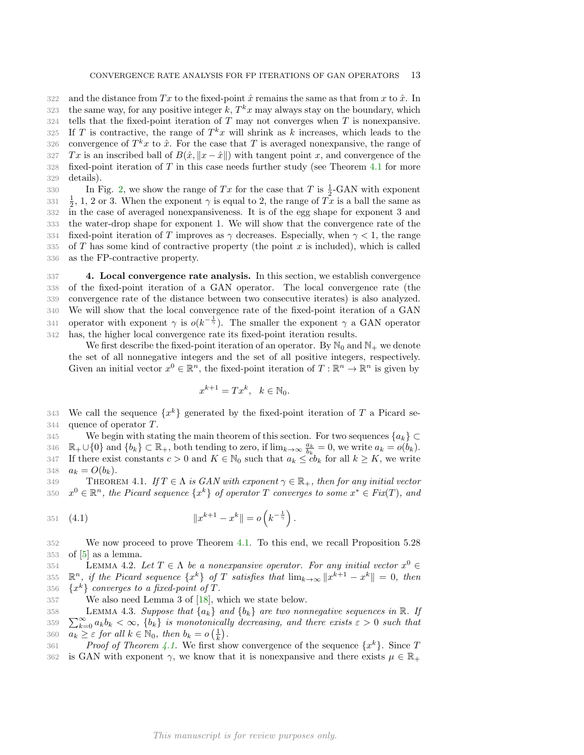322 and the distance from Tx to the fixed-point  $\hat{x}$  remains the same as that from x to  $\hat{x}$ . In 323 the same way, for any positive integer  $k$ ,  $T^k x$  may always stay on the boundary, which

 $324$  tells that the fixed-point iteration of T may not converges when T is nonexpansive.

325 If T is contractive, the range of  $T^k x$  will shrink as k increases, which leads to the

326 convergence of  $T^k x$  to  $\hat{x}$ . For the case that T is averaged nonexpansive, the range of 327 Tx is an inscribed ball of  $B(\hat{x}, \|x - \hat{x}\|)$  with tangent point x, and convergence of the 328 fixed-point iteration of T in this case needs further study (see Theorem [4.1](#page-12-0) for more

329 details).

330 In Fig. [2,](#page-11-1) we show the range of Tx for the case that T is  $\frac{1}{2}$ -GAN with exponent  $\frac{1}{2}$ , 1, 2 or 3. When the exponent  $\gamma$  is equal to 2, the range of  $\tilde{T}x$  is a ball the same as in the case of averaged nonexpansiveness. It is of the egg shape for exponent 3 and the water-drop shape for exponent 1. We will show that the convergence rate of the 334 fixed-point iteration of T improves as  $\gamma$  decreases. Especially, when  $\gamma < 1$ , the range of T has some kind of contractive property (the point x is included), which is called as the FP-contractive property.

<span id="page-12-4"></span> 4. Local convergence rate analysis. In this section, we establish convergence of the fixed-point iteration of a GAN operator. The local convergence rate (the convergence rate of the distance between two consecutive iterates) is also analyzed. We will show that the local convergence rate of the fixed-point iteration of a GAN 341 operator with exponent  $\gamma$  is  $o(k^{-\frac{1}{\gamma}})$ . The smaller the exponent  $\gamma$  a GAN operator has, the higher local convergence rate its fixed-point iteration results.

We first describe the fixed-point iteration of an operator. By  $\mathbb{N}_0$  and  $\mathbb{N}_+$  we denote the set of all nonnegative integers and the set of all positive integers, respectively. Given an initial vector  $x^0 \in \mathbb{R}^n$ , the fixed-point iteration of  $T : \mathbb{R}^n \to \mathbb{R}^n$  is given by

<span id="page-12-3"></span>
$$
x^{k+1} = Tx^k, \quad k \in \mathbb{N}_0.
$$

343 We call the sequence  $\{x^k\}$  generated by the fixed-point iteration of T a Picard se-344 quence of operator T.

345 We begin with stating the main theorem of this section. For two sequences  ${a_k} \subset$ 346  $\mathbb{R}_+ \cup \{0\}$  and  $\{b_k\} \subset \mathbb{R}_+$ , both tending to zero, if  $\lim_{k \to \infty} \frac{a_k}{b_k} = 0$ , we write  $a_k = o(b_k)$ . 347 If there exist constants  $c > 0$  and  $K \in \mathbb{N}_0$  such that  $a_k \leq cb_k$  for all  $k \geq K$ , we write 348  $a_k = O(b_k)$ .

<span id="page-12-0"></span>349 THEOREM 4.1. If  $T \in \Lambda$  is GAN with exponent  $\gamma \in \mathbb{R}_+$ , then for any initial vector 350  $x^0 \in \mathbb{R}^n$ , the Picard sequence  $\{x^k\}$  of operator T converges to some  $x^* \in Fix(T)$ , and

351 (4.1) 
$$
||x^{k+1} - x^k|| = o\left(k^{-\frac{1}{\gamma}}\right).
$$

352 We now proceed to prove Theorem [4.1.](#page-12-0) To this end, we recall Proposition 5.28  $353$  of  $[5]$  as a lemma.

<span id="page-12-1"></span>354 LEMMA 4.2. Let  $T \in \Lambda$  be a nonexpansive operator. For any initial vector  $x^0 \in$ 355  $\mathbb{R}^n$ , if the Picard sequence  $\{x^k\}$  of T satisfies that  $\lim_{k\to\infty} \|x^{k+1} - x^k\| = 0$ , then 356  $\{x^k\}$  converges to a fixed-point of T.

357 We also need Lemma 3 of [\[18\]](#page-23-22), which we state below.

<span id="page-12-2"></span>358 359  $\sum_{k=0}^{\infty} a_k b_k < \infty$ ,  $\{b_k\}$  is monotonically decreasing, and there exists  $\varepsilon > 0$  such that LEMMA 4.3. Suppose that  $\{a_k\}$  and  $\{b_k\}$  are two nonnegative sequences in R. If 360  $\overline{a_k} \geq \varepsilon$  for all  $k \in \mathbb{N}_0$ , then  $b_k = o\left(\frac{1}{k}\right)$ .

361 Proof of Theorem [4.1.](#page-12-0) We first show convergence of the sequence  $\{x^k\}$ . Since T 362 is GAN with exponent  $\gamma$ , we know that it is nonexpansive and there exists  $\mu \in \mathbb{R}_+$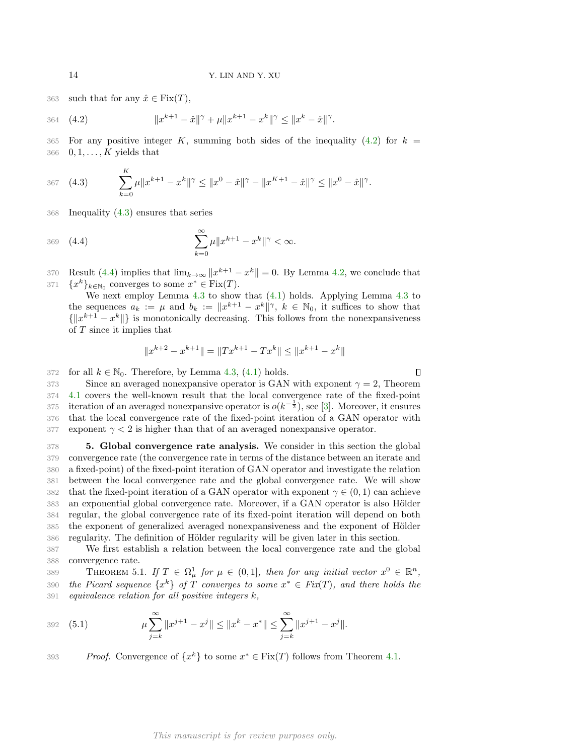363 such that for any  $\hat{x} \in \text{Fix}(T)$ ,

364 (4.2) 
$$
||x^{k+1} - \hat{x}||^{\gamma} + \mu ||x^{k+1} - x^k||^{\gamma} \le ||x^k - \hat{x}||^{\gamma}.
$$

365 For any positive integer K, summing both sides of the inequality [\(4.2\)](#page-13-0) for  $k =$ 366  $0, 1, \ldots, K$  yields that

<span id="page-13-1"></span>367 
$$
(4.3) \qquad \sum_{k=0}^{K} \mu \|x^{k+1} - x^k\|^{\gamma} \le \|x^0 - \hat{x}\|^{\gamma} - \|x^{K+1} - \hat{x}\|^{\gamma} \le \|x^0 - \hat{x}\|^{\gamma}.
$$

368 Inequality [\(4.3\)](#page-13-1) ensures that series

369 (4.4) 
$$
\sum_{k=0}^{\infty} \mu \|x^{k+1} - x^k\|^{\gamma} < \infty.
$$

370 Result [\(4.4\)](#page-13-2) implies that  $\lim_{k\to\infty} ||x^{k+1} - x^k|| = 0$ . By Lemma [4.2,](#page-12-1) we conclude that 371  ${x^k}_{k \in \mathbb{N}_0}$  converges to some  $x^* \in \text{Fix}(T)$ .

We next employ Lemma  $4.3$  to show that  $(4.1)$  holds. Applying Lemma  $4.3$  to the sequences  $a_k := \mu$  and  $b_k := ||x^{k+1} - x^k||^{\gamma}$ ,  $k \in \mathbb{N}_0$ , it suffices to show that  $\{\Vert x^{k+1} - x^k \Vert\}$  is monotonically decreasing. This follows from the nonexpansiveness of T since it implies that

<span id="page-13-2"></span>
$$
||x^{k+2} - x^{k+1}|| = ||Tx^{k+1} - Tx^k|| \le ||x^{k+1} - x^k||
$$

372 for all  $k \in \mathbb{N}_0$ . Therefore, by Lemma [4.3,](#page-12-2) [\(4.1\)](#page-12-3) holds.

373 Since an averaged nonexpansive operator is GAN with exponent  $\gamma = 2$ , Theorem 374 [4.1](#page-12-0) covers the well-known result that the local convergence rate of the fixed-point 375 iteration of an averaged nonexpansive operator is  $o(k^{-\frac{1}{2}})$ , see [\[3\]](#page-23-10). Moreover, it ensures 376 that the local convergence rate of the fixed-point iteration of a GAN operator with 377 exponent  $\gamma$  < 2 is higher than that of an averaged nonexpansive operator.

<span id="page-13-5"></span>378 5. Global convergence rate analysis. We consider in this section the global 379 convergence rate (the convergence rate in terms of the distance between an iterate and 380 a fixed-point) of the fixed-point iteration of GAN operator and investigate the relation 381 between the local convergence rate and the global convergence rate. We will show 382 that the fixed-point iteration of a GAN operator with exponent  $\gamma \in (0,1)$  can achieve 383 an exponential global convergence rate. Moreover, if a GAN operator is also Hölder 384 regular, the global convergence rate of its fixed-point iteration will depend on both 385 the exponent of generalized averaged nonexpansiveness and the exponent of Hölder 386 regularity. The definition of Hölder regularity will be given later in this section.

387 We first establish a relation between the local convergence rate and the global 388 convergence rate.

<span id="page-13-4"></span>389 THEOREM 5.1. If  $T \in \Omega^1_\mu$  for  $\mu \in (0,1]$ , then for any initial vector  $x^0 \in \mathbb{R}^n$ , 390 the Picard sequence  $\{x^k\}$  of T converges to some  $x^* \in Fix(T)$ , and there holds the  $391$  equivalence relation for all positive integers k,

<span id="page-13-3"></span>392 (5.1) 
$$
\mu \sum_{j=k}^{\infty} \|x^{j+1} - x^j\| \le \|x^k - x^*\| \le \sum_{j=k}^{\infty} \|x^{j+1} - x^j\|.
$$

393 *Proof.* Convergence of  $\{x^k\}$  to some  $x^* \in Fix(T)$  follows from Theorem [4.1.](#page-12-0)

<span id="page-13-0"></span>

 $\Box$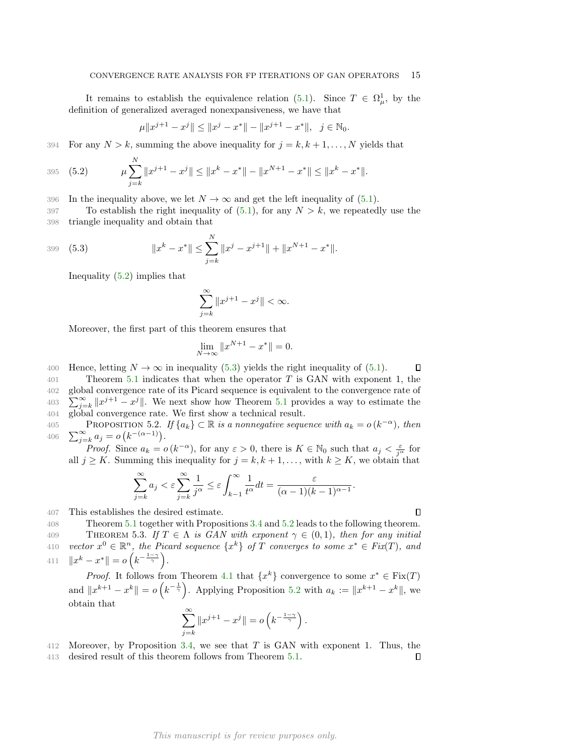It remains to establish the equivalence relation [\(5.1\)](#page-13-3). Since  $T \in \Omega^1_\mu$ , by the definition of generalized averaged nonexpansiveness, we have that

$$
\mu \|x^{j+1} - x^j\| \le \|x^j - x^*\| - \|x^{j+1} - x^*\|, \ \ j \in \mathbb{N}_0.
$$

394 For any  $N > k$ , summing the above inequality for  $j = k, k + 1, ..., N$  yields that

395 (5.2) 
$$
\mu \sum_{j=k}^{N} \|x^{j+1} - x^j\| \leq \|x^k - x^*\| - \|x^{N+1} - x^*\| \leq \|x^k - x^*\|.
$$

396 In the inequality above, we let  $N \to \infty$  and get the left inequality of [\(5.1\)](#page-13-3).

397 To establish the right inequality of  $(5.1)$ , for any  $N > k$ , we repeatedly use the 398 triangle inequality and obtain that

399 (5.3) 
$$
||x^{k} - x^{*}|| \leq \sum_{j=k}^{N} ||x^{j} - x^{j+1}|| + ||x^{N+1} - x^{*}||.
$$

Inequality [\(5.2\)](#page-14-0) implies that

<span id="page-14-0"></span> $\mathbf{v}$ 

<span id="page-14-1"></span>
$$
\sum_{j=k}^{\infty} \|x^{j+1} - x^j\| < \infty.
$$

Moreover, the first part of this theorem ensures that

$$
\lim_{N \to \infty} \|x^{N+1} - x^*\| = 0.
$$

400 Hence, letting  $N \to \infty$  in inequality [\(5.3\)](#page-14-1) yields the right inequality of [\(5.1\)](#page-13-3).  $\Box$ 

 Theorem [5.1](#page-13-4) indicates that when the operator T is GAN with exponent 1, the global convergence rate of its Picard sequence is equivalent to the convergence rate of  $\sum_{j=k}^{\infty} ||x^{j+1}-x^j||$ . We next show how Theorem [5.1](#page-13-4) provides a way to estimate the global convergence rate. We first show a technical result.

<span id="page-14-2"></span>405 PROPOSITION 5.2. If  $\{a_k\} \subset \mathbb{R}$  is a nonnegative sequence with  $a_k = o(k^{-\alpha})$ , then  $\sum_{i=1}^{\infty}$ 406  $\sum_{j=k}^{\infty} a_j = o(k^{-(\alpha-1)})$ .

*Proof.* Since  $a_k = o(k^{-\alpha})$ , for any  $\varepsilon > 0$ , there is  $K \in \mathbb{N}_0$  such that  $a_j < \frac{\varepsilon}{j^{\alpha}}$  for all  $j \geq K$ . Summing this inequality for  $j = k, k + 1, \ldots$ , with  $k \geq K$ , we obtain that

$$
\sum_{j=k}^{\infty} a_j < \varepsilon \sum_{j=k}^{\infty} \frac{1}{j^{\alpha}} \leq \varepsilon \int_{k-1}^{\infty} \frac{1}{t^{\alpha}} dt = \frac{\varepsilon}{(\alpha-1)(k-1)^{\alpha-1}}.
$$

 $\Box$ 

 $\Box$ 

407 This establishes the desired estimate.

408 Theorem [5.1](#page-13-4) together with Propositions [3.4](#page-5-2) and [5.2](#page-14-2) leads to the following theorem.

<span id="page-14-3"></span>409 THEOREM 5.3. If  $T \in \Lambda$  is GAN with exponent  $\gamma \in (0,1)$ , then for any initial 410 vector  $x^0 \in \mathbb{R}^n$ , the Picard sequence  $\{x^k\}$  of T converges to some  $x^* \in Fix(T)$ , and 411  $\|x^k - x^*\| = o\left(k^{-\frac{1-\gamma}{\gamma}}\right).$ 

*Proof.* It follows from Theorem [4.1](#page-12-0) that  $\{x^k\}$  convergence to some  $x^* \in \text{Fix}(T)$ and  $||x^{k+1} - x^k|| = o\left(k^{-\frac{1}{\gamma}}\right)$ . Applying Proposition [5.2](#page-14-2) with  $a_k := ||x^{k+1} - x^k||$ , we obtain that

$$
\sum_{j=k}^{\infty} \|x^{j+1}-x^j\|=o\left(k^{-\frac{1-\gamma}{\gamma}}\right).
$$

412 Moreover, by Proposition [3.4,](#page-5-2) we see that T is GAN with exponent 1. Thus, the

413 desired result of this theorem follows from Theorem [5.1.](#page-13-4)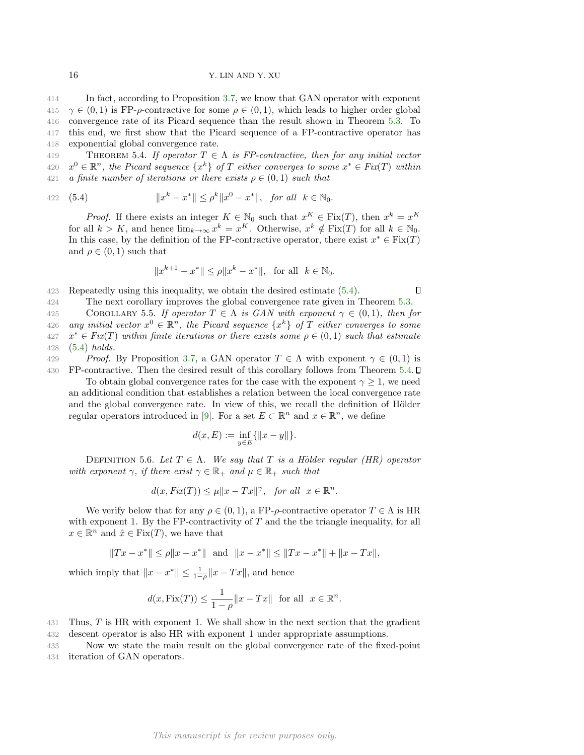In fact, according to Proposition [3.7,](#page-6-4) we know that GAN operator with exponent  $\gamma \in (0,1)$  is FP- $\rho$ -contractive for some  $\rho \in (0,1)$ , which leads to higher order global convergence rate of its Picard sequence than the result shown in Theorem [5.3.](#page-14-3) To this end, we first show that the Picard sequence of a FP-contractive operator has exponential global convergence rate.

<span id="page-15-1"></span>419 THEOREM 5.4. If operator  $T \in \Lambda$  is FP-contractive, then for any initial vector 420  $x^0 \in \mathbb{R}^n$ , the Picard sequence  $\{x^k\}$  of T either converges to some  $x^* \in Fix(T)$  within 421 a finite number of iterations or there exists  $\rho \in (0,1)$  such that

422 (5.4) 
$$
||x^k - x^*|| \le \rho^k ||x^0 - x^*||, \text{ for all } k \in \mathbb{N}_0.
$$

*Proof.* If there exists an integer  $K \in \mathbb{N}_0$  such that  $x^K \in \text{Fix}(T)$ , then  $x^k = x^K$ for all  $k > K$ , and hence  $\lim_{k \to \infty} x^k = x^K$ . Otherwise,  $x^k \notin \text{Fix}(T)$  for all  $k \in \mathbb{N}_0$ . In this case, by the definition of the FP-contractive operator, there exist  $x^* \in \text{Fix}(T)$ and  $\rho \in (0,1)$  such that

<span id="page-15-0"></span>
$$
||x^{k+1} - x^*|| \le \rho ||x^k - x^*||, \text{ for all } k \in \mathbb{N}_0.
$$

 $\Box$ 

423 Repeatedly using this inequality, we obtain the desired estimate [\(5.4\)](#page-15-0).

424 The next corollary improves the global convergence rate given in Theorem [5.3.](#page-14-3) 425 COROLLARY 5.5. If operator  $T \in \Lambda$  is GAN with exponent  $\gamma \in (0,1)$ , then for 426 any initial vector  $x^0 \in \mathbb{R}^n$ , the Picard sequence  $\{x^k\}$  of T either converges to some

427  $x^* \in Fix(T)$  within finite iterations or there exists some  $\rho \in (0,1)$  such that estimate 428  $(5.4)$  holds.

429 Proof. By Proposition [3.7,](#page-6-4) a GAN operator  $T \in \Lambda$  with exponent  $\gamma \in (0,1)$  is 430 FP-contractive. Then the desired result of this corollary follows from Theorem [5.4.](#page-15-1)

To obtain global convergence rates for the case with the exponent  $\gamma \geq 1$ , we need an additional condition that establishes a relation between the local convergence rate and the global convergence rate. In view of this, we recall the definition of Hölder regular operators introduced in [\[9\]](#page-23-23). For a set  $E \subset \mathbb{R}^n$  and  $x \in \mathbb{R}^n$ , we define

$$
d(x, E) := \inf_{y \in E} \{ ||x - y|| \}.
$$

DEFINITION 5.6. Let  $T \in \Lambda$ . We say that T is a Hölder regular (HR) operator with exponent  $\gamma$ , if there exist  $\gamma \in \mathbb{R}_+$  and  $\mu \in \mathbb{R}_+$  such that

$$
d(x, Fix(T)) \le \mu \|x - Tx\|^\gamma, \text{ for all } x \in \mathbb{R}^n.
$$

We verify below that for any  $\rho \in (0,1)$ , a FP- $\rho$ -contractive operator  $T \in \Lambda$  is HR with exponent 1. By the FP-contractivity of  $T$  and the the triangle inequality, for all  $x \in \mathbb{R}^n$  and  $\hat{x} \in \text{Fix}(T)$ , we have that

$$
||Tx - x^*|| \le \rho ||x - x^*||
$$
 and  $||x - x^*|| \le ||Tx - x^*|| + ||x - Tx||$ ,

which imply that  $||x - x^*|| \le \frac{1}{1-\rho} ||x - Tx||$ , and hence

$$
d(x, \text{Fix}(T)) \le \frac{1}{1-\rho} \|x - Tx\| \text{ for all } x \in \mathbb{R}^n.
$$

 $431$  Thus, T is HR with exponent 1. We shall show in the next section that the gradient 432 descent operator is also HR with exponent 1 under appropriate assumptions.

<span id="page-15-2"></span>433 Now we state the main result on the global convergence rate of the fixed-point 434 iteration of GAN operators.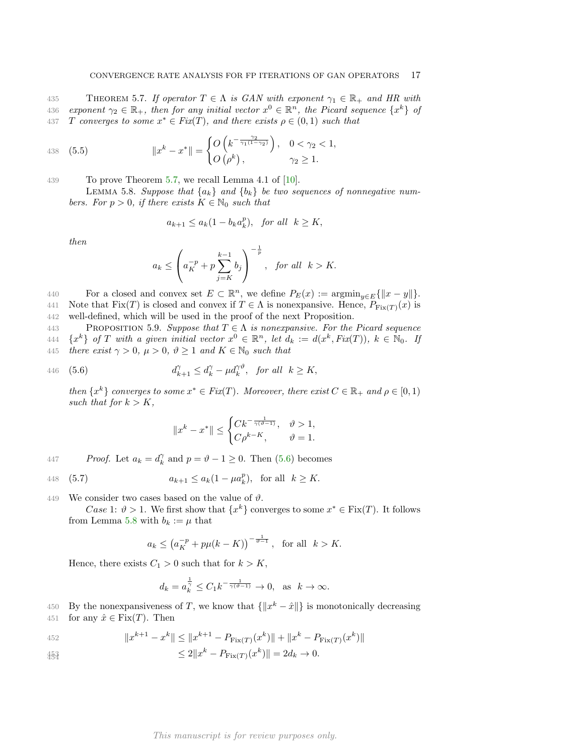435 THEOREM 5.7. If operator  $T \in \Lambda$  is GAN with exponent  $\gamma_1 \in \mathbb{R}_+$  and HR with 436 exponent  $\gamma_2 \in \mathbb{R}_+$ , then for any initial vector  $x^0 \in \mathbb{R}^n$ , the Picard sequence  $\{x^k\}$  of 437 T converges to some  $x^* \in Fix(T)$ , and there exists  $\rho \in (0,1)$  such that

438 (5.5) 
$$
||x^{k} - x^{*}|| = \begin{cases} O\left(k^{-\frac{\gamma_{2}}{\gamma_{1}(1-\gamma_{2})}}\right), & 0 < \gamma_{2} < 1, \\ O\left(\rho^{k}\right), & \gamma_{2} \geq 1. \end{cases}
$$

439 To prove Theorem [5.7,](#page-15-2) we recall Lemma 4.1 of [\[10\]](#page-23-24).

<span id="page-16-1"></span>LEMMA 5.8. Suppose that  $\{a_k\}$  and  $\{b_k\}$  be two sequences of nonnegative numbers. For  $p > 0$ , if there exists  $K \in \mathbb{N}_0$  such that

$$
a_{k+1} \le a_k(1 - b_k a_k^p), \quad \text{for all} \quad k \ge K,
$$

then

$$
a_k \le \left(a_K^{-p} + p \sum_{j=K}^{k-1} b_j\right)^{-\frac{1}{p}}, \quad \text{for all} \quad k > K.
$$

440 For a closed and convex set  $E \subset \mathbb{R}^n$ , we define  $P_E(x) := \operatorname{argmin}_{y \in E} {\{\Vert x - y \Vert\}}$ .

441 Note that  $Fix(T)$  is closed and convex if  $T \in \Lambda$  is nonexpansive. Hence,  $P_{Fix(T)}(x)$  is 442 well-defined, which will be used in the proof of the next Proposition.

<span id="page-16-2"></span>443 PROPOSITION 5.9. Suppose that  $T \in \Lambda$  is nonexpansive. For the Picard sequence 444  $\{x^k\}$  of T with a given initial vector  $x^0 \in \mathbb{R}^n$ , let  $d_k := d(x^k, Fix(T)), k \in \mathbb{N}_0$ . If 445 there exist  $\gamma > 0$ ,  $\mu > 0$ ,  $\vartheta > 1$  and  $K \subset \mathbb{N}$  such that

$$
445 \quad \text{there exist } \gamma > 0, \ \mu > 0, \ \nu \geq 1 \ \text{and } \Lambda \in \mathbb{N}_0 \ \text{such that}
$$

446 (5.6) 
$$
d_{k+1}^{\gamma} \leq d_k^{\gamma} - \mu d_k^{\gamma \vartheta}, \text{ for all } k \geq K,
$$

then  $\{x^k\}$  converges to some  $x^* \in Fix(T)$ . Moreover, there exist  $C \in \mathbb{R}_+$  and  $\rho \in [0,1)$ such that for  $k > K$ ,

<span id="page-16-0"></span>
$$
||x^k-x^*||\leq \begin{cases} Ck^{-\frac{1}{\gamma(\vartheta-1)}}, & \vartheta>1,\\ C\rho^{k-K}, & \vartheta=1. \end{cases}
$$

447 Proof. Let  $a_k = d_k^{\gamma}$  and  $p = \vartheta - 1 \ge 0$ . Then [\(5.6\)](#page-16-0) becomes

448 (5.7) 
$$
a_{k+1} \le a_k (1 - \mu a_k^p)
$$
, for all  $k \ge K$ .

449 We consider two cases based on the value of  $\vartheta$ .

Case 1:  $\vartheta > 1$ . We first show that  $\{x^k\}$  converges to some  $x^* \in \text{Fix}(T)$ . It follows from Lemma [5.8](#page-16-1) with  $b_k := \mu$  that

$$
a_k \leq (a_K^{-p} + p\mu(k - K))^{-\frac{1}{\vartheta - 1}}
$$
, for all  $k > K$ .

Hence, there exists  $C_1 > 0$  such that for  $k > K$ ,

$$
d_k = a_k^{\frac{1}{\gamma}} \le C_1 k^{-\frac{1}{\gamma(\vartheta - 1)}} \to 0, \text{ as } k \to \infty.
$$

450 By the nonexpansiveness of T, we know that  $\{\Vert x^k - \hat{x} \Vert\}$  is monotonically decreasing 451 for any  $\hat{x} \in \text{Fix}(T)$ . Then

452 
$$
||x^{k+1} - x^k|| \le ||x^{k+1} - P_{\text{Fix}(T)}(x^k)|| + ||x^k - P_{\text{Fix}(T)}(x^k)||
$$

$$
45\frac{3}{454} \le 2\|x^k - P_{\text{Fix}(T)}(x^k)\| = 2d_k \to 0.
$$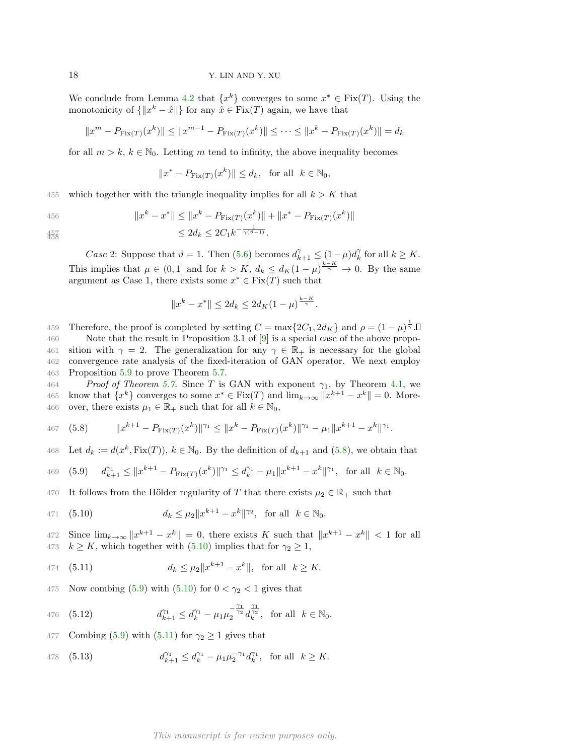We conclude from Lemma [4.2](#page-12-1) that  $\{x^k\}$  converges to some  $x^* \in \text{Fix}(T)$ . Using the monotonicity of  $\{\Vert x^k - \hat{x} \Vert\}$  for any  $\hat{x} \in \text{Fix}(T)$  again, we have that

$$
||x^m - P_{\text{Fix}(T)}(x^k)|| \le ||x^{m-1} - P_{\text{Fix}(T)}(x^k)|| \le \dots \le ||x^k - P_{\text{Fix}(T)}(x^k)|| = d_k
$$

for all  $m > k$ ,  $k \in \mathbb{N}_0$ . Letting m tend to infinity, the above inequality becomes

$$
||x^* - P_{\text{Fix}(T)}(x^k)|| \le d_k, \text{ for all } k \in \mathbb{N}_0,
$$

455 which together with the triangle inequality implies for all  $k > K$  that

$$
\mathcal{L}_{\text{QCD}}
$$

456 
$$
||x^{k} - x^{*}|| \le ||x^{k} - P_{\text{Fix}(T)}(x^{k})|| + ||x^{*} - P_{\text{Fix}(T)}(x^{k})||
$$
  
< 2d,  $2C, k^{-\frac{1}{2(p-1)}}$ 

458

$$
45\frac{7}{458} \leq 2d_k \leq 2C_1 k^{-\frac{1}{\gamma(\vartheta - 1)}}.
$$

Case 2: Suppose that  $\vartheta = 1$ . Then [\(5.6\)](#page-16-0) becomes  $d_{k+1}^{\gamma} \leq (1 - \mu) d_k^{\gamma}$  for all  $k \geq K$ . This implies that  $\mu \in (0,1]$  and for  $k > K$ ,  $d_k \leq d_K(1-\mu)^{\frac{k-K}{\gamma}} \to 0$ . By the same argument as Case 1, there exists some  $x^* \in \text{Fix}(T)$  such that

$$
||x^k - x^*|| \le 2d_k \le 2d_K(1 - \mu)^{\frac{k-K}{\gamma}}.
$$

459 Therefore, the proof is completed by setting  $C = \max\{2C_1, 2d_K\}$  and  $\rho = (1 - \mu)^{\frac{1}{\gamma}}$ . 460 Note that the result in Proposition 3.1 of [\[9\]](#page-23-23) is a special case of the above propo-461 sition with  $\gamma = 2$ . The generalization for any  $\gamma \in \mathbb{R}_+$  is necessary for the global 462 convergence rate analysis of the fixed-iteration of GAN operator. We next employ 463 Proposition [5.9](#page-16-2) to prove Theorem [5.7.](#page-15-2)

464 Proof of Theorem [5.7.](#page-15-2) Since T is GAN with exponent  $\gamma_1$ , by Theorem [4.1,](#page-12-0) we 465 know that  $\{x^k\}$  converges to some  $x^* \in \text{Fix}(T)$  and  $\lim_{k \to \infty} ||x^{k+1} - x^k|| = 0$ . More-466 over, there exists  $\mu_1 \in \mathbb{R}_+$  such that for all  $k \in \mathbb{N}_0$ ,

<span id="page-17-0"></span>467 (5.8) 
$$
||x^{k+1} - P_{\text{Fix}(T)}(x^k)||^{\gamma_1} \leq ||x^k - P_{\text{Fix}(T)}(x^k)||^{\gamma_1} - \mu_1||x^{k+1} - x^k||^{\gamma_1}.
$$

468 Let  $d_k := d(x^k, Fix(T)), k \in \mathbb{N}_0$ . By the definition of  $d_{k+1}$  and  $(5.8)$ , we obtain that

<span id="page-17-2"></span>469 (5.9) 
$$
d_{k+1}^{\gamma_1} \le ||x^{k+1} - P_{\text{Fix}(T)}(x^k)||^{\gamma_1} \le d_k^{\gamma_1} - \mu_1 ||x^{k+1} - x^k||^{\gamma_1}
$$
, for all  $k \in \mathbb{N}_0$ .

470 It follows from the Hölder regularity of T that there exists  $\mu_2 \in \mathbb{R}_+$  such that

<span id="page-17-1"></span>471 (5.10) 
$$
d_k \leq \mu_2 \|x^{k+1} - x^k\|^{\gamma_2}, \text{ for all } k \in \mathbb{N}_0.
$$

472 Since  $\lim_{k\to\infty} ||x^{k+1} - x^k|| = 0$ , there exists K such that  $||x^{k+1} - x^k|| < 1$  for all 473  $k \geq K$ , which together with [\(5.10\)](#page-17-1) implies that for  $\gamma_2 \geq 1$ ,

<span id="page-17-3"></span>474 (5.11) 
$$
d_k \leq \mu_2 \|x^{k+1} - x^k\|, \text{ for all } k \geq K.
$$

475 Now combing [\(5.9\)](#page-17-2) with [\(5.10\)](#page-17-1) for  $0 < \gamma_2 < 1$  gives that

476 (5.12) 
$$
d_{k+1}^{\gamma_1} \leq d_k^{\gamma_1} - \mu_1 \mu_2^{-\frac{\gamma_1}{\gamma_2}} d_k^{\frac{\gamma_1}{\gamma_2}}, \text{ for all } k \in \mathbb{N}_0.
$$

477 Combing [\(5.9\)](#page-17-2) with [\(5.11\)](#page-17-3) for  $\gamma_2 \geq 1$  gives that

478 (5.13) 
$$
d_{k+1}^{\gamma_1} \leq d_k^{\gamma_1} - \mu_1 \mu_2^{-\gamma_1} d_k^{\gamma_1}, \text{ for all } k \geq K.
$$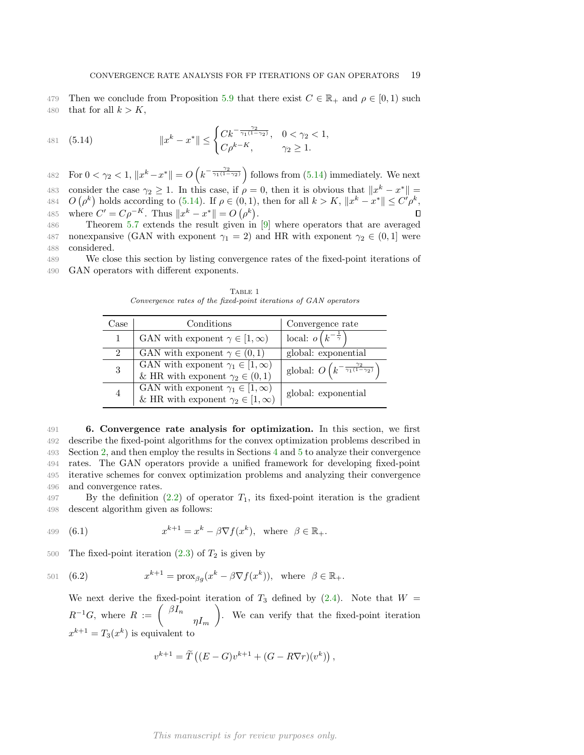479 Then we conclude from Proposition [5.9](#page-16-2) that there exist  $C \in \mathbb{R}_+$  and  $\rho \in [0,1)$  such 480 that for all  $k > K$ ,

<span id="page-18-0"></span>481 (5.14) 
$$
||x^{k} - x^{*}|| \leq \begin{cases} Ck^{-\frac{\gamma_{2}}{\gamma_{1}(1-\gamma_{2})}}, & 0 < \gamma_{2} < 1, \\ C\rho^{k-K}, & \gamma_{2} \geq 1. \end{cases}
$$

482 For  $0 < \gamma_2 < 1$ ,  $||x^k - x^*|| = O\left(k^{-\frac{\gamma_2}{\gamma_1(1-\gamma_2)}}\right)$  follows from [\(5.14\)](#page-18-0) immediately. We next 483 consider the case  $\gamma_2 \geq 1$ . In this case, if  $\rho = 0$ , then it is obvious that  $||x^k - x^*|| =$ 484  $O(\rho^k)$  holds according to [\(5.14\)](#page-18-0). If  $\rho \in (0,1)$ , then for all  $k > K$ ,  $||x^k - x^*|| \leq C' \rho^k$ , 485 where  $C' = C \rho^{-K}$ . Thus  $||x^k - x^*|| = O(\rho^k)$ .

486 Theorem [5.7](#page-15-2) extends the result given in [\[9\]](#page-23-23) where operators that are averaged 487 nonexpansive (GAN with exponent  $\gamma_1 = 2$ ) and HR with exponent  $\gamma_2 \in (0, 1]$  were 488 considered.

489 We close this section by listing convergence rates of the fixed-point iterations of 490 GAN operators with different exponents.

| Case | Conditions                                                                                   | Convergence rate                                                   |
|------|----------------------------------------------------------------------------------------------|--------------------------------------------------------------------|
|      | GAN with exponent $\gamma \in [1,\infty)$                                                    | local: $o(k^{-\frac{1}{\gamma}})$                                  |
| 2    | GAN with exponent $\gamma \in (0,1)$                                                         | global: exponential                                                |
| 3    | GAN with exponent $\gamma_1 \in [1, \infty)$<br>& HR with exponent $\gamma_2 \in (0,1)$      | global: $O\left(k^{-\frac{\gamma_2}{\gamma_1(1-\gamma_2)}}\right)$ |
|      | GAN with exponent $\gamma_1 \in [1,\infty)$<br>& HR with exponent $\gamma_2 \in [1, \infty)$ | global: exponential                                                |

TABLE 1 Convergence rates of the fixed-point iterations of GAN operators

 6. Convergence rate analysis for optimization. In this section, we first describe the fixed-point algorithms for the convex optimization problems described in Section [2,](#page-1-1) and then employ the results in Sections [4](#page-12-4) and [5](#page-13-5) to analyze their convergence rates. The GAN operators provide a unified framework for developing fixed-point iterative schemes for convex optimization problems and analyzing their convergence and convergence rates.

497 By the definition  $(2.2)$  of operator  $T_1$ , its fixed-point iteration is the gradient 498 descent algorithm given as follows:

<span id="page-18-1"></span>499 (6.1) 
$$
x^{k+1} = x^k - \beta \nabla f(x^k), \text{ where } \beta \in \mathbb{R}_+.
$$

500 The fixed-point iteration  $(2.3)$  of  $T_2$  is given by

501 (6.2) 
$$
x^{k+1} = \text{prox}_{\beta g}(x^k - \beta \nabla f(x^k)), \text{ where } \beta \in \mathbb{R}_+.
$$

<span id="page-18-2"></span>We next derive the fixed-point iteration of  $T_3$  defined by [\(2.4\)](#page-3-2). Note that  $W =$  $R^{-1}G$ , where  $R := \int \frac{\beta I_n}{\beta I_n}$  $\eta I_m$  . We can verify that the fixed-point iteration  $x^{k+1} = T_3(x^k)$  is equivalent to

$$
v^{k+1} = \widetilde{T}\left( (E - G)v^{k+1} + (G - R\nabla r)(v^k) \right),
$$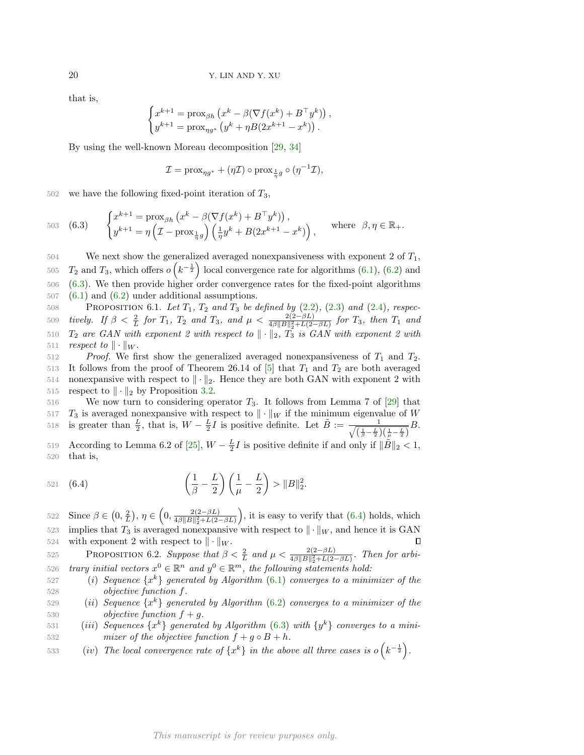that is,

$$
\begin{cases} x^{k+1} = \text{prox}_{\beta h} \left( x^k - \beta (\nabla f(x^k) + B^\top y^k) \right) \\ y^{k+1} = \text{prox}_{\eta g^*} \left( y^k + \eta B(2x^{k+1} - x^k) \right). \end{cases}
$$

,

By using the well-known Moreau decomposition [\[29,](#page-24-4) [34\]](#page-24-21)

$$
\mathcal{I} = \text{prox}_{\eta g^*} + (\eta \mathcal{I}) \circ \text{prox}_{\frac{1}{\eta} g} \circ (\eta^{-1} \mathcal{I}),
$$

 $502$  we have the following fixed-point iteration of  $T_3$ ,

<span id="page-19-0"></span>503 (6.3) 
$$
\begin{cases} x^{k+1} = \text{prox}_{\beta h} \left( x^k - \beta (\nabla f(x^k) + B^\top y^k) \right), \\ y^{k+1} = \eta \left( \mathcal{I} - \text{prox}_{\frac{1}{\eta} g} \right) \left( \frac{1}{\eta} y^k + B(2x^{k+1} - x^k) \right), \end{cases} \text{ where } \beta, \eta \in \mathbb{R}_+.
$$

 We next show the generalized averaged nonexpansiveness with exponent 2 of  $T_1$ ,  $T_2$  and  $T_3$ , which offers  $o(k^{-\frac{1}{2}})$  local convergence rate for algorithms [\(6.1\)](#page-18-1), [\(6.2\)](#page-18-2) and [\(6.3\)](#page-19-0). We then provide higher order convergence rates for the fixed-point algorithms  $507 \quad (6.1)$  $507 \quad (6.1)$  and  $(6.2)$  under additional assumptions.

<span id="page-19-2"></span>508 PROPOSITION 6.1. Let  $T_1$ ,  $T_2$  and  $T_3$  be defined by  $(2.2)$ ,  $(2.3)$  and  $(2.4)$ , respec-*tively.* If β <  $\frac{2}{L}$  for T<sub>1</sub>, T<sub>2</sub> and T<sub>3</sub>, and  $μ$  <  $\frac{2(2-βL)}{4β||B||_2^2 + L(2-βL)}$  for T<sub>3</sub>, then T<sub>1</sub> and  $T_2$  are GAN with exponent 2 with respect to  $\|\cdot\|_2$ ,  $T_3$  is GAN with exponent 2 with *respect to*  $\|\cdot\|_W$ .

 $512$  Proof. We first show the generalized averaged nonexpansiveness of  $T_1$  and  $T_2$ . 513 It follows from the proof of Theorem 26.14 of [\[5\]](#page-23-9) that  $T_1$  and  $T_2$  are both averaged 514 nonexpansive with respect to  $\|\cdot\|_2$ . Hence they are both GAN with exponent 2 with 515 respect to  $\|\cdot\|_2$  by Proposition [3.2.](#page-4-0)

516 We now turn to considering operator  $T_3$ . It follows from Lemma 7 of [\[29\]](#page-24-4) that 517  $T_3$  is averaged nonexpansive with respect to  $\|\cdot\|_W$  if the minimum eigenvalue of W is greater than  $\frac{L}{2}$ , that is,  $W - \frac{L}{2}I$  is positive definite. Let  $\tilde{B} := \frac{1}{\sqrt{(1 - L)^2}}$ 518 is greater than  $\frac{L}{2}$ , that is,  $W - \frac{L}{2}I$  is positive definite. Let  $B := \frac{1}{\sqrt{\left(\frac{1}{\beta} - \frac{L}{2}\right)\left(\frac{1}{\mu} - \frac{L}{2}\right)}}B$ .

519 According to Lemma 6.2 of [\[25\]](#page-23-1),  $W - \frac{L}{2}I$  is positive definite if and only if  $\|\tilde{B}\|_2 < 1$ , 520 that is,

<span id="page-19-1"></span>521 (6.4) 
$$
\left(\frac{1}{\beta} - \frac{L}{2}\right)\left(\frac{1}{\mu} - \frac{L}{2}\right) > ||B||_2^2.
$$

522 Since  $\beta \in (0, \frac{2}{L}), \eta \in (0, \frac{2(2-\beta L)}{4\beta\|\mathcal{B}\|^2 + L(2-\beta L)})$ , it is easy to verify that  $(6.4)$  holds, which Since  $\beta \in (0, \frac{2}{L}), \eta \in (0, \frac{2(2-\beta L)}{4\beta ||B||_2^2 + L(2-\beta)}$  $4\beta \|B\|_2^2 + L(2-\beta L)$ 523 implies that  $T_3$  is averaged nonexpansive with respect to  $\|\cdot\|_W$ , and hence it is GAN 524 with exponent 2 with respect to  $\|\cdot\|_W$ .  $\Box$ 

<span id="page-19-3"></span>525 PROPOSITION 6.2. Suppose that  $\beta < \frac{2}{L}$  and  $\mu < \frac{2(2-\beta L)}{4\beta \|B\|_2^2 + L(2-\beta L)}$ . Then for arbi-526 trary initial vectors  $x^0 \in \mathbb{R}^n$  and  $y^0 \in \mathbb{R}^m$ , the following statements hold:

- 527 (i) Sequence  $\{x^k\}$  generated by Algorithm [\(6.1\)](#page-18-1) converges to a minimizer of the 528 objective function f.
- 529 (ii) Sequence  $\{x^k\}$  generated by Algorithm [\(6.2\)](#page-18-2) converges to a minimizer of the 530 objective function  $f + g$ .
- 531 (iii) Sequences  $\{x^k\}$  generated by Algorithm [\(6.3\)](#page-19-0) with  $\{y^k\}$  converges to a mini-532 mizer of the objective function  $f + g \circ B + h$ .
- 533 (iv) The local convergence rate of  $\{x^k\}$  in the above all three cases is  $o(k^{-\frac{1}{2}})$ .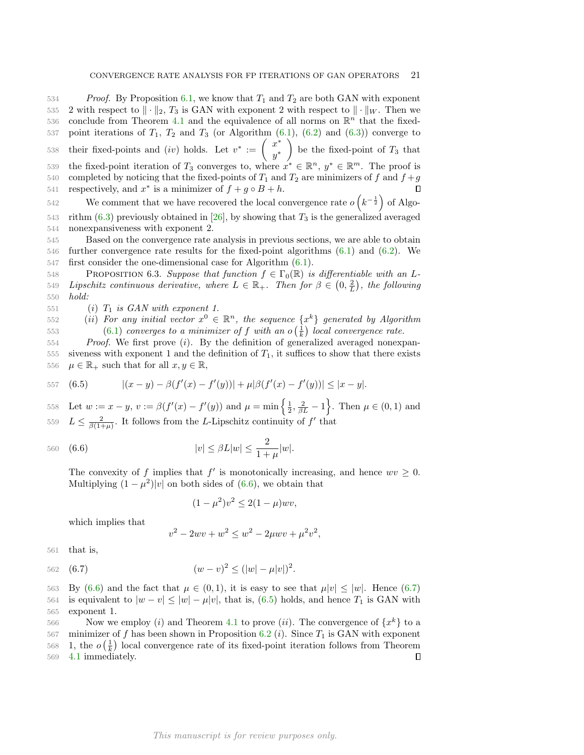$534$  Proof. By Proposition [6.1,](#page-19-2) we know that  $T_1$  and  $T_2$  are both GAN with exponent 535 2 with respect to  $\|\cdot\|_2$ , T<sub>3</sub> is GAN with exponent 2 with respect to  $\|\cdot\|_W$ . Then we 536 conclude from Theorem [4.1](#page-12-0) and the equivalence of all norms on  $\mathbb{R}^n$  that the fixed-537 point iterations of  $T_1$ ,  $T_2$  and  $T_3$  (or Algorithm  $(6.1)$ ,  $(6.2)$  and  $(6.3)$ ) converge to their fixed-points and  $(iv)$  holds. Let  $v^* := \begin{pmatrix} x^* & 0 \\ 0 & x^* \end{pmatrix}$  $y^*$ 538 their fixed-points and (iv) holds. Let  $v^* := \begin{pmatrix} x^* \\ x^* \end{pmatrix}$  be the fixed-point of  $T_3$  that 539 the fixed-point iteration of  $T_3$  converges to, where  $x^* \in \mathbb{R}^n$ ,  $y^* \in \mathbb{R}^m$ . The proof is 540 completed by noticing that the fixed-points of  $T_1$  and  $T_2$  are minimizers of f and  $f + g$ 541 respectively, and  $x^*$  is a minimizer of  $f + g \circ B + h$ . 542 We comment that we have recovered the local convergence rate  $o(k^{-\frac{1}{2}})$  of Algo-543 rithm  $(6.3)$  previously obtained in [\[26\]](#page-23-16), by showing that  $T_3$  is the generalized averaged

544 nonexpansiveness with exponent 2. 545 Based on the convergence rate analysis in previous sections, we are able to obtain

546 further convergence rate results for the fixed-point algorithms [\(6.1\)](#page-18-1) and [\(6.2\)](#page-18-2). We 547 first consider the one-dimensional case for Algorithm [\(6.1\)](#page-18-1).

<span id="page-20-3"></span>548 PROPOSITION 6.3. Suppose that function  $f \in \Gamma_0(\mathbb{R})$  is differentiable with an L-549 Lipschitz continuous derivative, where  $L \in \mathbb{R}_+$ . Then for  $\beta \in (0, \frac{2}{L})$ , the following 550 hold:

551 (i)  $T_1$  is GAN with exponent 1.

552 (ii) For any initial vector  $x^0 \in \mathbb{R}^n$ , the sequence  $\{x^k\}$  generated by Algorithm 553  $(6.1)$  converges to a minimizer of f with an  $o\left(\frac{1}{k}\right)$  local convergence rate.

554 Proof. We first prove (i). By the definition of generalized averaged nonexpan-555 siveness with exponent 1 and the definition of  $T_1$ , it suffices to show that there exists 556  $\mu \in \mathbb{R}_+$  such that for all  $x, y \in \mathbb{R}$ ,

<span id="page-20-2"></span>
$$
557 \quad (6.5) \qquad |(x-y) - \beta(f'(x) - f'(y))| + \mu|\beta(f'(x) - f'(y))| \le |x-y|.
$$

558 Let  $w := x - y$ ,  $v := \beta(f'(x) - f'(y))$  and  $\mu = \min\left\{\frac{1}{2}, \frac{2}{\beta L} - 1\right\}$ . Then  $\mu \in (0, 1)$  and 559  $L \leq \frac{2}{\beta(1+\mu)}$ . It follows from the L-Lipschitz continuity of  $f'$  that

560 (6.6) 
$$
|v| \leq \beta L |w| \leq \frac{2}{1+\mu}|w|.
$$

The convexity of f implies that  $f'$  is monotonically increasing, and hence  $wv \geq 0$ . Multiplying  $(1 - \mu^2)|v|$  on both sides of [\(6.6\)](#page-20-0), we obtain that

<span id="page-20-0"></span>
$$
(1 - \mu^2)v^2 \le 2(1 - \mu)wv,
$$

which implies that

<span id="page-20-1"></span>
$$
x^{2} - 2wv + w^{2} \leq w^{2} - 2\mu wv + \mu^{2}v^{2},
$$

561 that is,

562 (6.7) 
$$
(w-v)^2 \le (|w| - \mu |v|)^2.
$$

 $\overline{v}$ 

563 By [\(6.6\)](#page-20-0) and the fact that  $\mu \in (0,1)$ , it is easy to see that  $\mu|v| < |w|$ . Hence [\(6.7\)](#page-20-1) 564 is equivalent to  $|w - v| \le |w| - \mu |v|$ , that is, [\(6.5\)](#page-20-2) holds, and hence  $T_1$  is GAN with 565 exponent 1.

566 Now we employ (*i*) and Theorem [4.1](#page-12-0) to prove (*ii*). The convergence of  $\{x^k\}$  to a 567 minimizer of f has been shown in Proposition [6.2](#page-19-3) (*i*). Since  $T_1$  is GAN with exponent 568 1, the  $o\left(\frac{1}{k}\right)$  local convergence rate of its fixed-point iteration follows from Theorem 569 [4.1](#page-12-0) immediately.  $\Box$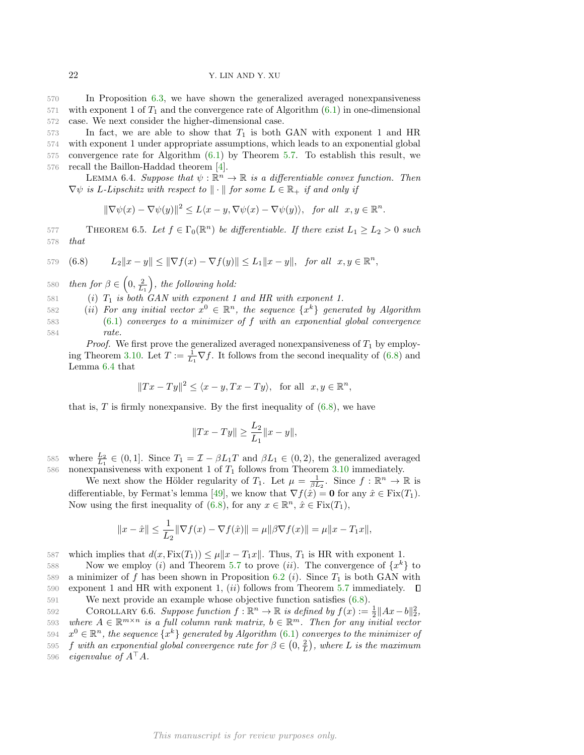570 In Proposition [6.3,](#page-20-3) we have shown the generalized averaged nonexpansiveness  $571$  with exponent 1 of  $T_1$  and the convergence rate of Algorithm  $(6.1)$  in one-dimensional 572 case. We next consider the higher-dimensional case.

 In fact, we are able to show that  $T_1$  is both GAN with exponent 1 and HR with exponent 1 under appropriate assumptions, which leads to an exponential global convergence rate for Algorithm [\(6.1\)](#page-18-1) by Theorem [5.7.](#page-15-2) To establish this result, we recall the Baillon-Haddad theorem [\[4\]](#page-23-25).

<span id="page-21-2"></span>LEMMA 6.4. Suppose that  $\psi : \mathbb{R}^n \to \mathbb{R}$  is a differentiable convex function. Then  $\nabla \psi$  is L-Lipschitz with respect to  $\|\cdot\|$  for some  $L \in \mathbb{R}_+$  if and only if

<span id="page-21-1"></span>
$$
\|\nabla\psi(x)-\nabla\psi(y)\|^2 \le L\langle x-y,\nabla\psi(x)-\nabla\psi(y)\rangle, \text{ for all } x,y \in \mathbb{R}^n.
$$

<span id="page-21-3"></span>577 THEOREM 6.5. Let  $f \in \Gamma_0(\mathbb{R}^n)$  be differentiable. If there exist  $L_1 \ge L_2 > 0$  such 578 that

579 (6.8) 
$$
L_2||x-y|| \le ||\nabla f(x) - \nabla f(y)|| \le L_1||x-y||
$$
, for all  $x, y \in \mathbb{R}^n$ ,

580 then for  $\beta \in \left(0, \frac{2}{L_1}\right)$ , the following hold:

581 (i)  $T_1$  is both GAN with exponent 1 and HR with exponent 1.

582 (ii) For any initial vector  $x^0 \in \mathbb{R}^n$ , the sequence  $\{x^k\}$  generated by Algorithm 583 [\(6.1\)](#page-18-1) converges to a minimizer of f with an exponential global convergence 584 rate.

*Proof.* We first prove the generalized averaged nonexpansiveness of  $T_1$  by employ-ing Theorem [3.10.](#page-8-5) Let  $T := \frac{1}{L_1} \nabla f$ . It follows from the second inequality of [\(6.8\)](#page-21-1) and Lemma [6.4](#page-21-2) that

$$
||Tx - Ty||^2 \le \langle x - y, Tx - Ty \rangle
$$
, for all  $x, y \in \mathbb{R}^n$ ,

that is,  $T$  is firmly nonexpansive. By the first inequality of  $(6.8)$ , we have

<span id="page-21-0"></span>
$$
||Tx - Ty|| \ge \frac{L_2}{L_1} ||x - y||,
$$

585 where  $\frac{L_2}{L_1} \in (0,1]$ . Since  $T_1 = \mathcal{I} - \beta L_1 T$  and  $\beta L_1 \in (0,2)$ , the generalized averaged 586 nonexpansiveness with exponent 1 of  $T_1$  follows from Theorem [3.10](#page-8-5) immediately.

We next show the Hölder regularity of  $T_1$ . Let  $\mu = \frac{1}{\beta L_2}$ . Since  $f : \mathbb{R}^n \to \mathbb{R}$  is differentiable, by Fermat's lemma [\[49\]](#page-24-22), we know that  $\nabla f(\hat{x}) = \mathbf{0}$  for any  $\hat{x} \in \text{Fix}(T_1)$ . Now using the first inequality of  $(6.8)$ , for any  $x \in \mathbb{R}^n$ ,  $\hat{x} \in \text{Fix}(T_1)$ ,

$$
||x - \hat{x}|| \le \frac{1}{L_2} ||\nabla f(x) - \nabla f(\hat{x})|| = \mu ||\beta \nabla f(x)|| = \mu ||x - T_1 x||,
$$

587 which implies that  $d(x, Fix(T_1)) \leq \mu ||x - T_1x||$ . Thus,  $T_1$  is HR with exponent 1.

588 Now we employ (*i*) and Theorem [5.7](#page-15-2) to prove (*ii*). The convergence of  $\{x^k\}$  to 589 a minimizer of f has been shown in Proposition [6.2](#page-19-3) (i). Since  $T_1$  is both GAN with 590 exponent 1 and HR with exponent 1, *(ii)* follows from Theorem [5.7](#page-15-2) immediately.  $\Box$ 591 We next provide an example whose objective function satisfies [\(6.8\)](#page-21-1).

592 COROLLARY 6.6. Suppose function  $f : \mathbb{R}^n \to \mathbb{R}$  is defined by  $f(x) := \frac{1}{2} ||Ax - b||_2^2$ , 593 where  $A \in \mathbb{R}^{m \times n}$  is a full column rank matrix,  $b \in \mathbb{R}^m$ . Then for any initial vector 594  $x^0 \in \mathbb{R}^n$ , the sequence  $\{x^k\}$  generated by Algorithm [\(6.1\)](#page-18-1) converges to the minimizer of 595 f with an exponential global convergence rate for  $\beta \in (0, \frac{2}{L})$ , where L is the maximum 596 eigenvalue of  $A^{\dagger}A$ .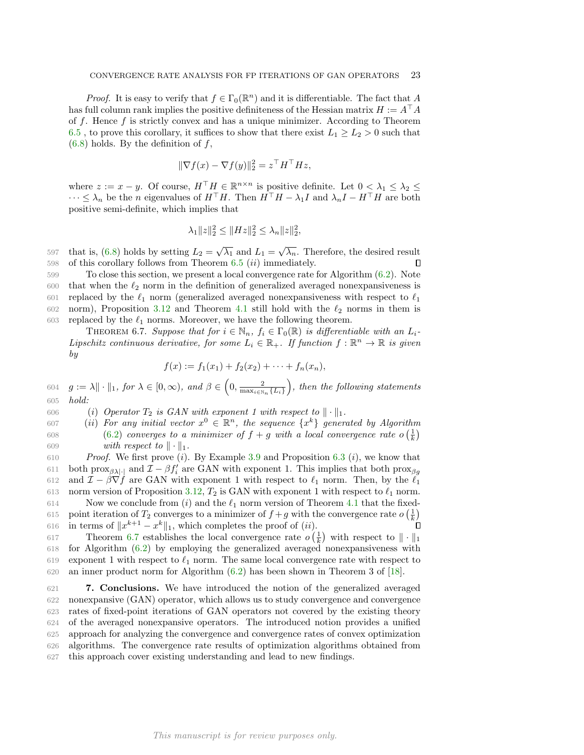*Proof.* It is easy to verify that  $f \in \Gamma_0(\mathbb{R}^n)$  and it is differentiable. The fact that A has full column rank implies the positive definiteness of the Hessian matrix  $H := A^{\dagger} A$ of  $f$ . Hence  $f$  is strictly convex and has a unique minimizer. According to Theorem [6.5](#page-21-3), to prove this corollary, it suffices to show that there exist  $L_1 \ge L_2 > 0$  such that  $(6.8)$  holds. By the definition of f,

$$
\|\nabla f(x) - \nabla f(y)\|_2^2 = z^\top H^\top H z,
$$

where  $z := x - y$ . Of course,  $H^{\top} H \in \mathbb{R}^{n \times n}$  is positive definite. Let  $0 < \lambda_1 \leq \lambda_2 \leq$  $\cdots \leq \lambda_n$  be the *n* eigenvalues of  $H^\top H$ . Then  $H^\top H - \lambda_1 I$  and  $\lambda_n I - H^\top H$  are both positive semi-definite, which implies that

$$
\lambda_1 \|z\|_2^2 \le \|Hz\|_2^2 \le \lambda_n \|z\|_2^2,
$$

597 that is, [\(6.8\)](#page-21-1) holds by setting  $L_2 = \sqrt{\lambda_1}$  and  $L_1 = \sqrt{\lambda_n}$ . Therefore, the desired result 598 of this corollary follows from Theorem  $6.5$   $(ii)$  immediately. П

599 To close this section, we present a local convergence rate for Algorithm [\(6.2\)](#page-18-2). Note  $600$  that when the  $\ell_2$  norm in the definition of generalized averaged nonexpansiveness is 601 replaced by the  $\ell_1$  norm (generalized averaged nonexpansiveness with respect to  $\ell_1$ 602 norm), Proposition [3.12](#page-10-7) and Theorem [4.1](#page-12-0) still hold with the  $\ell_2$  norms in them is 603 replaced by the  $\ell_1$  norms. Moreover, we have the following theorem.

<span id="page-22-0"></span>THEOREM 6.7. Suppose that for  $i \in \mathbb{N}_n$ ,  $f_i \in \Gamma_0(\mathbb{R})$  is differentiable with an  $L_i$ -Lipschitz continuous derivative, for some  $L_i \in \mathbb{R}_+$ . If function  $f : \mathbb{R}^n \to \mathbb{R}$  is given by

$$
f(x) := f_1(x_1) + f_2(x_2) + \cdots + f_n(x_n),
$$

 $g := \lambda \|\cdot\|_1$ , for  $\lambda \in [0, \infty)$ , and  $\beta \in \left(0, \frac{2}{\max_{i \in \mathbb{N}_n} \{L_i\}}\right)$ 604  $g := \lambda \|\cdot\|_1$ , for  $\lambda \in [0, \infty)$ , and  $\beta \in \left(0, \frac{2}{\max\{L\}}\right)$ , then the following statements 605 hold:

606 (i) Operator  $T_2$  is GAN with exponent 1 with respect to  $\|\cdot\|_1$ .

607 (ii) For any initial vector  $x^0 \in \mathbb{R}^n$ , the sequence  $\{x^k\}$  generated by Algorithm [\(6.2\)](#page-18-2) converges to a minimizer of  $f + g$  with a local convergence rate  $o\left(\frac{1}{k}\right)$ 608 609 with respect to  $\|\cdot\|_1$ .

610 Proof. We first prove  $(i)$ . By Example [3.9](#page-7-0) and Proposition [6.3](#page-20-3)  $(i)$ , we know that 611 both prox<sub>βλ|</sub>| and  $\mathcal{I} - \beta f'_i$  are GAN with exponent 1. This implies that both prox<sub>βg</sub> 612 and  $\mathcal{I} - \beta \nabla f$  are GAN with exponent 1 with respect to  $\ell_1$  norm. Then, by the  $\ell_1$ 613 norm version of Proposition [3.12,](#page-10-7)  $T_2$  is GAN with exponent 1 with respect to  $\ell_1$  norm. 614 Now we conclude from  $(i)$  and the  $\ell_1$  norm version of Theorem [4.1](#page-12-0) that the fixedpoint iteration of  $T_2$  converges to a minimizer of  $f + g$  with the convergence rate  $o\left(\frac{1}{k}\right)$ 615 616 in terms of  $||x^{k+1} - x^k||_1$ , which completes the proof of  $(ii)$ .

617 Theorem [6.7](#page-22-0) establishes the local convergence rate  $o\left(\frac{1}{k}\right)$  with respect to  $\|\cdot\|_1$ 618 for Algorithm [\(6.2\)](#page-18-2) by employing the generalized averaged nonexpansiveness with 619 exponent 1 with respect to  $\ell_1$  norm. The same local convergence rate with respect to 620 an inner product norm for Algorithm [\(6.2\)](#page-18-2) has been shown in Theorem 3 of [\[18\]](#page-23-22).

 7. Conclusions. We have introduced the notion of the generalized averaged nonexpansive (GAN) operator, which allows us to study convergence and convergence rates of fixed-point iterations of GAN operators not covered by the existing theory of the averaged nonexpansive operators. The introduced notion provides a unified approach for analyzing the convergence and convergence rates of convex optimization algorithms. The convergence rate results of optimization algorithms obtained from this approach cover existing understanding and lead to new findings.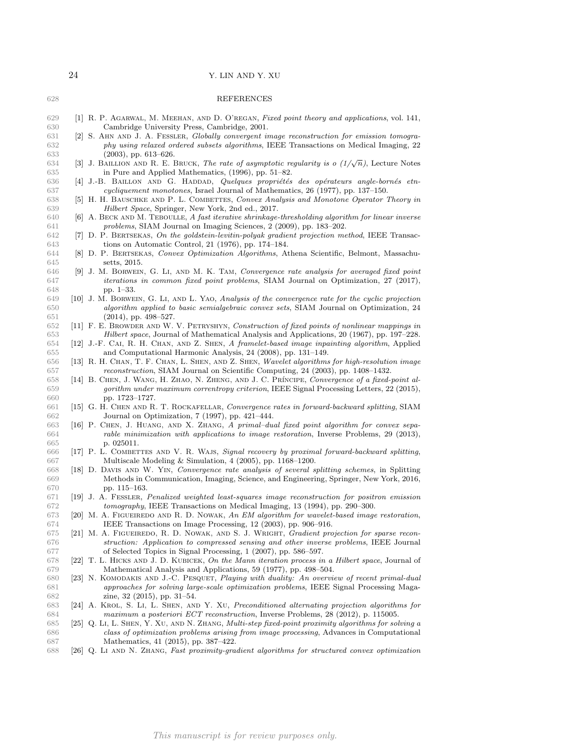<span id="page-23-25"></span><span id="page-23-24"></span><span id="page-23-23"></span><span id="page-23-22"></span><span id="page-23-21"></span><span id="page-23-20"></span><span id="page-23-19"></span><span id="page-23-18"></span><span id="page-23-17"></span><span id="page-23-16"></span><span id="page-23-15"></span><span id="page-23-14"></span><span id="page-23-13"></span><span id="page-23-12"></span><span id="page-23-11"></span><span id="page-23-10"></span><span id="page-23-9"></span><span id="page-23-8"></span><span id="page-23-7"></span><span id="page-23-6"></span><span id="page-23-5"></span><span id="page-23-4"></span><span id="page-23-3"></span><span id="page-23-2"></span><span id="page-23-1"></span><span id="page-23-0"></span>

| 628        | REFERENCES                                                                                                                                                                            |
|------------|---------------------------------------------------------------------------------------------------------------------------------------------------------------------------------------|
|            |                                                                                                                                                                                       |
| 629<br>630 | [1] R. P. AGARWAL, M. MEEHAN, AND D. O'REGAN, Fixed point theory and applications, vol. 141,<br>Cambridge University Press, Cambridge, 2001.                                          |
| 631        | [2] S. AHN AND J. A. FESSLER, Globally convergent image reconstruction for emission tomogra-                                                                                          |
| 632        | phy using relaxed ordered subsets algorithms, IEEE Transactions on Medical Imaging, 22                                                                                                |
| 633        | $(2003)$ , pp. 613-626.                                                                                                                                                               |
| 634        | [3] J. BAILLION AND R. E. BRUCK, The rate of asymptotic regularity is $o(1/\sqrt{n})$ , Lecture Notes                                                                                 |
| 635        | in Pure and Applied Mathematics, (1996), pp. 51–82.                                                                                                                                   |
| 636        | [4] J.-B. BAILLON AND G. HADDAD, Quelques propriétés des opérateurs angle-bornés etn-                                                                                                 |
| 637        | <i>cycliquement monotones</i> , Israel Journal of Mathematics, 26 (1977), pp. 137–150.                                                                                                |
| 638        | [5] H. H. BAUSCHKE AND P. L. COMBETTES, Convex Analysis and Monotone Operator Theory in                                                                                               |
| 639        | Hilbert Space, Springer, New York, 2nd ed., 2017.                                                                                                                                     |
| 640        | [6] A. BECK AND M. TEBOULLE, A fast iterative shrinkage-thresholding algorithm for linear inverse                                                                                     |
| 641        | <i>problems</i> , SIAM Journal on Imaging Sciences, 2 (2009), pp. 183–202.                                                                                                            |
| 642        | [7] D. P. BERTSEKAS, On the goldstein-levitin-polyak gradient projection method, IEEE Transac-                                                                                        |
| 643        | tions on Automatic Control, 21 (1976), pp. $174-184$ .                                                                                                                                |
| 644        | [8] D. P. BERTSEKAS, Convex Optimization Algorithms, Athena Scientific, Belmont, Massachu-                                                                                            |
| 645        | setts, 2015.                                                                                                                                                                          |
| 646        | [9] J. M. BORWEIN, G. LI, AND M. K. TAM, Convergence rate analysis for averaged fixed point                                                                                           |
| 647        | <i>iterations in common fixed point problems</i> , SIAM Journal on Optimization, 27 (2017),                                                                                           |
| 648<br>649 | pp. $1-33$ .<br>[10] J. M. BORWEIN, G. LI, AND L. YAO, Analysis of the convergence rate for the cyclic projection                                                                     |
| 650        | algorithm applied to basic semialgebraic convex sets, SIAM Journal on Optimization, 24                                                                                                |
| 651        | $(2014)$ , pp. 498-527.                                                                                                                                                               |
| 652        | [11] F. E. BROWDER AND W. V. PETRYSHYN, Construction of fixed points of nonlinear mappings in                                                                                         |
| 653        | <i>Hilbert space</i> , Journal of Mathematical Analysis and Applications, 20 (1967), pp. 197–228.                                                                                     |
| 654        | [12] J.-F. CAI, R. H. CHAN, AND Z. SHEN, A framelet-based image inpainting algorithm, Applied                                                                                         |
| 655        | and Computational Harmonic Analysis, 24 (2008), pp. 131-149.                                                                                                                          |
| 656        | [13] R. H. CHAN, T. F. CHAN, L. SHEN, AND Z. SHEN, Wavelet algorithms for high-resolution image                                                                                       |
| 657        | <i>reconstruction</i> , SIAM Journal on Scientific Computing, 24 (2003), pp. 1408–1432.                                                                                               |
| 658        | [14] B. CHEN, J. WANG, H. ZHAO, N. ZHENG, AND J. C. PRÍNCIPE, Convergence of a fixed-point al-                                                                                        |
| 659        | gorithm under maximum correntropy criterion, IEEE Signal Processing Letters, 22 (2015),                                                                                               |
| 660        | pp. 1723–1727.                                                                                                                                                                        |
| 661        | [15] G. H. CHEN AND R. T. ROCKAFELLAR, Convergence rates in forward-backward splitting, SIAM                                                                                          |
| 662        | Journal on Optimization, 7 (1997), pp. 421-444.                                                                                                                                       |
| 663<br>664 | [16] P. CHEN, J. HUANG, AND X. ZHANG, A primal-dual fixed point algorithm for convex sepa-<br>rable minimization with applications to image restoration, Inverse Problems, 29 (2013), |
| 665        | p. 025011.                                                                                                                                                                            |
| 666        | [17] P. L. COMBETTES AND V. R. WAJS, Signal recovery by proximal forward-backward splitting,                                                                                          |
| 667        | Multiscale Modeling & Simulation, $4(2005)$ , pp. 1168–1200.                                                                                                                          |
| 668        | [18] D. DAVIS AND W. YIN, Convergence rate analysis of several splitting schemes, in Splitting                                                                                        |
| 669        | Methods in Communication, Imaging, Science, and Engineering, Springer, New York, 2016,                                                                                                |
| 670        | pp. 115–163.                                                                                                                                                                          |
| 671        | [19] J. A. FESSLER, Penalized weighted least-squares image reconstruction for positron emission                                                                                       |
| 672        | <i>tomography</i> , IEEE Transactions on Medical Imaging, 13 (1994), pp. 290–300.                                                                                                     |
| 673        | [20] M. A. FIGUEIREDO AND R. D. NOWAK, An EM algorithm for wavelet-based image restoration,                                                                                           |
| 674        | IEEE Transactions on Image Processing, 12 (2003), pp. 906-916.                                                                                                                        |
| 675        | [21] M. A. FIGUEIREDO, R. D. NOWAK, AND S. J. WRIGHT, <i>Gradient projection for sparse recon</i> -                                                                                   |
| 676        | struction: Application to compressed sensing and other inverse problems, IEEE Journal                                                                                                 |
| 677        | of Selected Topics in Signal Processing, 1 (2007), pp. 586–597.                                                                                                                       |
| 678        | [22] T. L. HICKS AND J. D. KUBICEK, On the Mann iteration process in a Hilbert space, Journal of<br>Mathematical Analysis and Applications, 59 (1977), pp. 498–504.                   |
| 679<br>680 | [23] N. KOMODAKIS AND J.-C. PESQUET, Playing with duality: An overview of recent primal-dual                                                                                          |
| 681        | approaches for solving large-scale optimization problems, IEEE Signal Processing Maga-                                                                                                |
| 682        | zine, $32$ (2015), pp. 31–54.                                                                                                                                                         |
| 683        | [24] A. KROL, S. LI, L. SHEN, AND Y. XU, Preconditioned alternating projection algorithms for                                                                                         |
| 684        | maximum a posteriori ECT reconstruction, Inverse Problems, 28 (2012), p. 115005.                                                                                                      |
| 685        | [25] Q. Li, L. SHEN, Y. XU, AND N. ZHANG, Multi-step fixed-point proximity algorithms for solving a                                                                                   |
| 686        | class of optimization problems arising from image processing, Advances in Computational                                                                                               |
| 687        | Mathematics, 41 (2015), pp. 387–422.                                                                                                                                                  |
| 688        | [26] Q. LI AND N. ZHANG, Fast proximity-gradient algorithms for structured convex optimization                                                                                        |